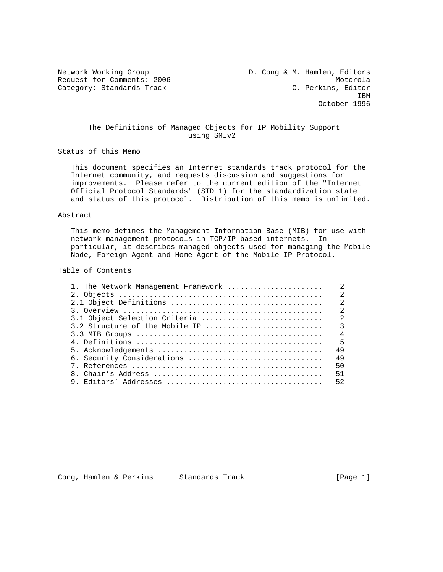Category: Standards Track

Network Working Group **D. Cong & M. Hamlen, Editors** Request for Comments: 2006 Motorola<br>
C. Perkins, Editor (Attegory: Standards Track Motorola **IBM IBM** October 1996

## The Definitions of Managed Objects for IP Mobility Support using SMIv2

Status of this Memo

 This document specifies an Internet standards track protocol for the Internet community, and requests discussion and suggestions for improvements. Please refer to the current edition of the "Internet Official Protocol Standards" (STD 1) for the standardization state and status of this protocol. Distribution of this memo is unlimited.

### Abstract

 This memo defines the Management Information Base (MIB) for use with network management protocols in TCP/IP-based internets. In particular, it describes managed objects used for managing the Mobile Node, Foreign Agent and Home Agent of the Mobile IP Protocol.

## Table of Contents

| 1. The Network Management Framework | 2                          |
|-------------------------------------|----------------------------|
|                                     | $\mathfrak{D}$             |
|                                     | $\mathfrak{D}$             |
|                                     | $\mathfrak{D}$             |
| 3.1 Object Selection Criteria       | $\overline{2}$             |
| 3.2 Structure of the Mobile IP      | $\overline{\phantom{a}}$   |
|                                     | $\overline{4}$             |
|                                     | - 5                        |
|                                     | 49                         |
|                                     | 49                         |
|                                     | 50                         |
|                                     | 51                         |
|                                     | 52                         |
|                                     | 6. Security Considerations |

Cong, Hamlen & Perkins Standards Track (Page 1)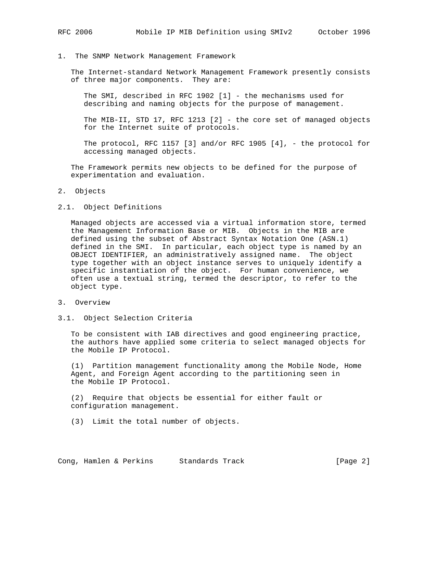1. The SNMP Network Management Framework

 The Internet-standard Network Management Framework presently consists of three major components. They are:

 The SMI, described in RFC 1902 [1] - the mechanisms used for describing and naming objects for the purpose of management.

 The MIB-II, STD 17, RFC 1213 [2] - the core set of managed objects for the Internet suite of protocols.

 The protocol, RFC 1157 [3] and/or RFC 1905 [4], - the protocol for accessing managed objects.

 The Framework permits new objects to be defined for the purpose of experimentation and evaluation.

- 2. Objects
- 2.1. Object Definitions

 Managed objects are accessed via a virtual information store, termed the Management Information Base or MIB. Objects in the MIB are defined using the subset of Abstract Syntax Notation One (ASN.1) defined in the SMI. In particular, each object type is named by an OBJECT IDENTIFIER, an administratively assigned name. The object type together with an object instance serves to uniquely identify a specific instantiation of the object. For human convenience, we often use a textual string, termed the descriptor, to refer to the object type.

- 3. Overview
- 3.1. Object Selection Criteria

 To be consistent with IAB directives and good engineering practice, the authors have applied some criteria to select managed objects for the Mobile IP Protocol.

 (1) Partition management functionality among the Mobile Node, Home Agent, and Foreign Agent according to the partitioning seen in the Mobile IP Protocol.

 (2) Require that objects be essential for either fault or configuration management.

(3) Limit the total number of objects.

Cong, Hamlen & Perkins Standards Track (Page 2)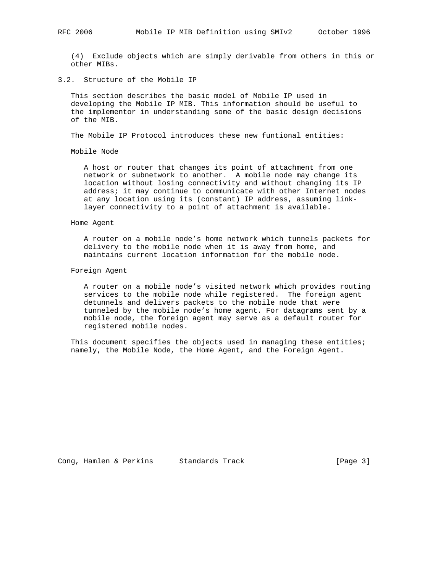(4) Exclude objects which are simply derivable from others in this or other MIBs.

# 3.2. Structure of the Mobile IP

 This section describes the basic model of Mobile IP used in developing the Mobile IP MIB. This information should be useful to the implementor in understanding some of the basic design decisions of the MIB.

The Mobile IP Protocol introduces these new funtional entities:

Mobile Node

 A host or router that changes its point of attachment from one network or subnetwork to another. A mobile node may change its location without losing connectivity and without changing its IP address; it may continue to communicate with other Internet nodes at any location using its (constant) IP address, assuming link layer connectivity to a point of attachment is available.

## Home Agent

 A router on a mobile node's home network which tunnels packets for delivery to the mobile node when it is away from home, and maintains current location information for the mobile node.

## Foreign Agent

 A router on a mobile node's visited network which provides routing services to the mobile node while registered. The foreign agent detunnels and delivers packets to the mobile node that were tunneled by the mobile node's home agent. For datagrams sent by a mobile node, the foreign agent may serve as a default router for registered mobile nodes.

 This document specifies the objects used in managing these entities; namely, the Mobile Node, the Home Agent, and the Foreign Agent.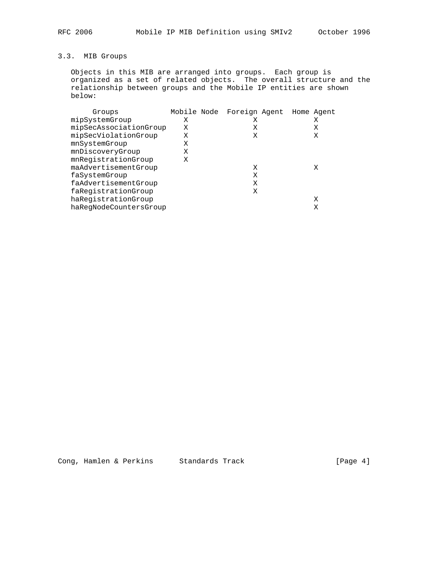# 3.3. MIB Groups

 Objects in this MIB are arranged into groups. Each group is organized as a set of related objects. The overall structure and the relationship between groups and the Mobile IP entities are shown below:

| Groups                 | Mobile Node | Foreign Agent Home Agent |  |   |
|------------------------|-------------|--------------------------|--|---|
| mipSystemGroup         | Χ           | Χ                        |  | Χ |
| mipSecAssociationGroup | Χ           | Χ                        |  | Χ |
| mipSecViolationGroup   | Χ           | X                        |  | Χ |
| mnSystemGroup          | Χ           |                          |  |   |
| mnDiscoveryGroup       | Χ           |                          |  |   |
| mnRegistrationGroup    | Χ           |                          |  |   |
| maAdvertisementGroup   |             | X                        |  | X |
| faSystemGroup          |             | Χ                        |  |   |
| faAdvertisementGroup   |             | Χ                        |  |   |
| faReqistrationGroup    |             | Χ                        |  |   |
| haRegistrationGroup    |             |                          |  | X |
| haRegNodeCountersGroup |             |                          |  | Χ |
|                        |             |                          |  |   |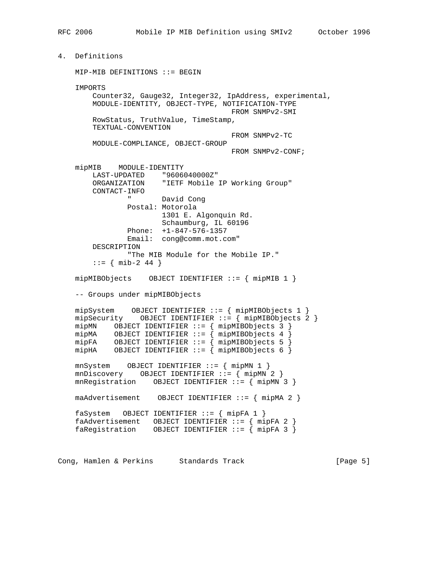4. Definitions MIP-MIB DEFINITIONS ::= BEGIN IMPORTS Counter32, Gauge32, Integer32, IpAddress, experimental, MODULE-IDENTITY, OBJECT-TYPE, NOTIFICATION-TYPE FROM SNMPv2-SMI RowStatus, TruthValue, TimeStamp, TEXTUAL-CONVENTION FROM SNMPv2-TC MODULE-COMPLIANCE, OBJECT-GROUP FROM SNMPv2-CONF; mipMIB MODULE-IDENTITY LAST-UPDATED "9606040000Z" ORGANIZATION "IETF Mobile IP Working Group" CONTACT-INFO " David Cong Postal: Motorola 1301 E. Algonquin Rd. Schaumburg, IL 60196 Phone: +1-847-576-1357 Email: cong@comm.mot.com" DESCRIPTION "The MIB Module for the Mobile IP."  $: := \{ \text{min-2 44 } \}$  mipMIBObjects OBJECT IDENTIFIER ::= { mipMIB 1 } -- Groups under mipMIBObjects mipSystem OBJECT IDENTIFIER ::= { mipMIBObjects 1 } mipSecurity OBJECT IDENTIFIER ::= { mipMIBObjects 2 } mipMN OBJECT IDENTIFIER ::= { mipMIBObjects 3 } mipMA OBJECT IDENTIFIER ::=  $\{$  mipMIBObjects 4  $\}$  mipFA OBJECT IDENTIFIER ::= { mipMIBObjects 5 } mipHA OBJECT IDENTIFIER ::= { mipMIBObjects 6 } mnSystem OBJECT IDENTIFIER ::= { mipMN 1 } mnDiscovery OBJECT IDENTIFIER ::= { mipMN 2 } mnRegistration OBJECT IDENTIFIER ::= { mipMN 3 } maAdvertisement OBJECT IDENTIFIER ::= { mipMA 2 } faSystem OBJECT IDENTIFIER ::= { mipFA 1 } faAdvertisement OBJECT IDENTIFIER ::= { mipFA 2 } faRegistration OBJECT IDENTIFIER ::= { mipFA 3 }

Cong, Hamlen & Perkins Standards Track (Page 5)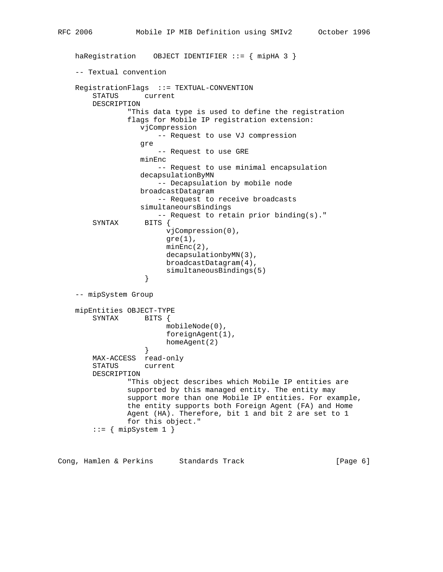```
 haRegistration OBJECT IDENTIFIER ::= { mipHA 3 }
    -- Textual convention
    RegistrationFlags ::= TEXTUAL-CONVENTION
        STATUS current
        DESCRIPTION
                 "This data type is used to define the registration
                 flags for Mobile IP registration extension:
                    vjCompression
                        -- Request to use VJ compression
                   gre
                        -- Request to use GRE
                   minEnc
                        -- Request to use minimal encapsulation
                   decapsulationByMN
                        -- Decapsulation by mobile node
                   broadcastDatagram
                       -- Request to receive broadcasts
                    simultaneoursBindings
                        -- Request to retain prior binding(s)."
         SYNTAX BITS {
                         vjCompression(0),
                        gre(1),
                         minEnc(2),
                          decapsulationbyMN(3),
                         broadcastDatagram(4),
                    simultaneousBindings(5)<br>}
 }
    -- mipSystem Group
   mipEntities OBJECT-TYPE<br>SYNTAX BITS {
       SYNTAX
                         mobileNode(0),
                         foreignAgent(1),
                    homeAgent(2)<br>}
 }
        MAX-ACCESS read-only
        STATUS current
        DESCRIPTION
                 "This object describes which Mobile IP entities are
                 supported by this managed entity. The entity may
                 support more than one Mobile IP entities. For example,
                 the entity supports both Foreign Agent (FA) and Home
                Agent (HA). Therefore, bit 1 and bit 2 are set to 1
                for this object."
        ::= { mipSystem 1 }
```
Cong, Hamlen & Perkins Standards Track (Page 6)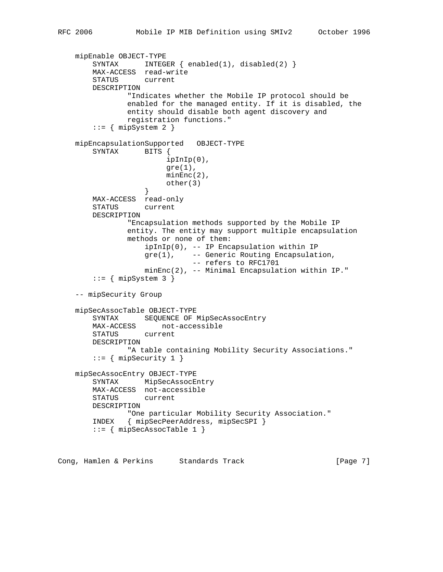```
 mipEnable OBJECT-TYPE
        SYNTAX INTEGER { enabled(1), disabled(2) }
        MAX-ACCESS read-write
        STATUS current
        DESCRIPTION
                "Indicates whether the Mobile IP protocol should be
                enabled for the managed entity. If it is disabled, the
                entity should disable both agent discovery and
                registration functions."
       ::= { mipSystem 2 }
    mipEncapsulationSupported OBJECT-TYPE
        SYNTAX BITS {
                         ipInIp(0),
                        gre(1),
                         minEnc(2),
                   other(3) }
        MAX-ACCESS read-only
        STATUS current
        DESCRIPTION
                "Encapsulation methods supported by the Mobile IP
                entity. The entity may support multiple encapsulation
                methods or none of them:
                    ipInIp(0), -- IP Encapsulation within IP
                    gre(1), -- Generic Routing Encapsulation,
                               -- refers to RFC1701
                    minEnc(2), -- Minimal Encapsulation within IP."
       ::= { mipSystem 3 }
    -- mipSecurity Group
    mipSecAssocTable OBJECT-TYPE
        SYNTAX SEQUENCE OF MipSecAssocEntry
        MAX-ACCESS not-accessible
        STATUS current
        DESCRIPTION
                "A table containing Mobility Security Associations."
       ::= { mipSecurity 1 }
    mipSecAssocEntry OBJECT-TYPE
        SYNTAX MipSecAssocEntry
        MAX-ACCESS not-accessible
        STATUS current
        DESCRIPTION
                "One particular Mobility Security Association."
        INDEX { mipSecPeerAddress, mipSecSPI }
        ::= { mipSecAssocTable 1 }
```
Cong, Hamlen & Perkins Standards Track (Page 7)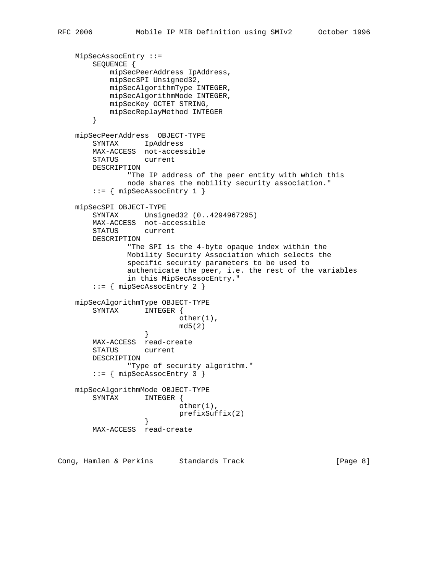```
 MipSecAssocEntry ::=
        SEQUENCE {
            mipSecPeerAddress IpAddress,
            mipSecSPI Unsigned32,
            mipSecAlgorithmType INTEGER,
            mipSecAlgorithmMode INTEGER,
            mipSecKey OCTET STRING,
            mipSecReplayMethod INTEGER
        }
    mipSecPeerAddress OBJECT-TYPE
        SYNTAX IpAddress
        MAX-ACCESS not-accessible
        STATUS current
        DESCRIPTION
                "The IP address of the peer entity with which this
                node shares the mobility security association."
        ::= { mipSecAssocEntry 1 }
    mipSecSPI OBJECT-TYPE
        SYNTAX Unsigned32 (0..4294967295)
        MAX-ACCESS not-accessible
        STATUS current
        DESCRIPTION
                "The SPI is the 4-byte opaque index within the
                Mobility Security Association which selects the
                specific security parameters to be used to
                authenticate the peer, i.e. the rest of the variables
                in this MipSecAssocEntry."
        ::= { mipSecAssocEntry 2 }
    mipSecAlgorithmType OBJECT-TYPE
        SYNTAX INTEGER {
                           other(1),
                   md5(2) }
        MAX-ACCESS read-create
        STATUS current
        DESCRIPTION
                "Type of security algorithm."
        ::= { mipSecAssocEntry 3 }
    mipSecAlgorithmMode OBJECT-TYPE
        SYNTAX INTEGER {
                           other(1),
                   prefixSuffix(2)<br>}
 }
        MAX-ACCESS read-create
```
Cong, Hamlen & Perkins Standards Track (Page 8)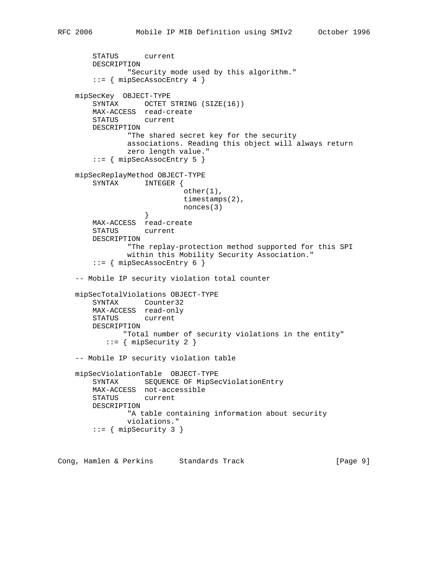```
 STATUS current
        DESCRIPTION
                "Security mode used by this algorithm."
       ::= { mipSecAssocEntry 4 }
    mipSecKey OBJECT-TYPE
       SYNTAX OCTET STRING (SIZE(16))
        MAX-ACCESS read-create
        STATUS current
        DESCRIPTION
                "The shared secret key for the security
                associations. Reading this object will always return
                zero length value."
       ::= { mipSecAssocEntry 5 }
    mipSecReplayMethod OBJECT-TYPE
        SYNTAX INTEGER {
                             other(1),
                             timestamps(2),
                   https://www.monces.com/<br>}
 }
        MAX-ACCESS read-create
        STATUS current
        DESCRIPTION
                "The replay-protection method supported for this SPI
                within this Mobility Security Association."
        ::= { mipSecAssocEntry 6 }
    -- Mobile IP security violation total counter
    mipSecTotalViolations OBJECT-TYPE
        SYNTAX Counter32
        MAX-ACCESS read-only
        STATUS current
        DESCRIPTION
               "Total number of security violations in the entity"
           ::= { mipSecurity 2 }
    -- Mobile IP security violation table
    mipSecViolationTable OBJECT-TYPE
        SYNTAX SEQUENCE OF MipSecViolationEntry
        MAX-ACCESS not-accessible
        STATUS current
        DESCRIPTION
                "A table containing information about security
                violations."
        ::= { mipSecurity 3 }
```
Cong, Hamlen & Perkins Standards Track (Page 9)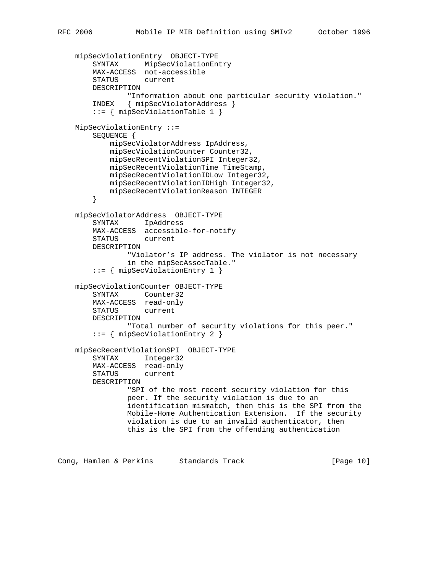```
 mipSecViolationEntry OBJECT-TYPE
     SYNTAX MipSecViolationEntry
     MAX-ACCESS not-accessible
     STATUS current
    DESCRIPTION
             "Information about one particular security violation."
     INDEX { mipSecViolatorAddress }
     ::= { mipSecViolationTable 1 }
 MipSecViolationEntry ::=
     SEQUENCE {
        mipSecViolatorAddress IpAddress,
        mipSecViolationCounter Counter32,
         mipSecRecentViolationSPI Integer32,
         mipSecRecentViolationTime TimeStamp,
         mipSecRecentViolationIDLow Integer32,
        mipSecRecentViolationIDHigh Integer32,
        mipSecRecentViolationReason INTEGER
     }
 mipSecViolatorAddress OBJECT-TYPE
     SYNTAX IpAddress
    MAX-ACCESS accessible-for-notify
     STATUS current
    DESCRIPTION
             "Violator's IP address. The violator is not necessary
             in the mipSecAssocTable."
     ::= { mipSecViolationEntry 1 }
 mipSecViolationCounter OBJECT-TYPE
     SYNTAX Counter32
    MAX-ACCESS read-only
    STATUS current
     DESCRIPTION
             "Total number of security violations for this peer."
     ::= { mipSecViolationEntry 2 }
 mipSecRecentViolationSPI OBJECT-TYPE
     SYNTAX Integer32
     MAX-ACCESS read-only
     STATUS current
     DESCRIPTION
             "SPI of the most recent security violation for this
             peer. If the security violation is due to an
             identification mismatch, then this is the SPI from the
             Mobile-Home Authentication Extension. If the security
             violation is due to an invalid authenticator, then
             this is the SPI from the offending authentication
```
Cong, Hamlen & Perkins Standards Track [Page 10]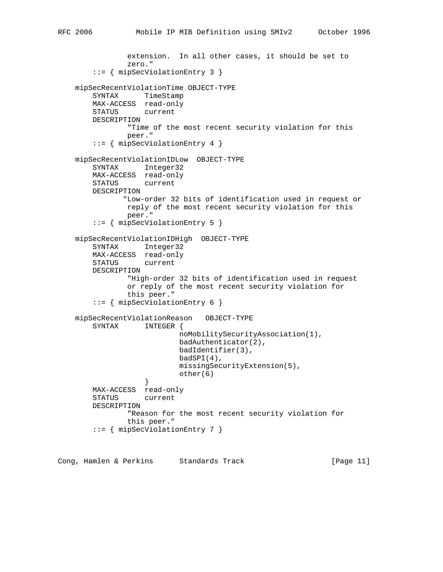```
 extension. In all other cases, it should be set to
                zero."
         ::= { mipSecViolationEntry 3 }
    mipSecRecentViolationTime OBJECT-TYPE
        SYNTAX TimeStamp
        MAX-ACCESS read-only
        STATUS current
        DESCRIPTION
                "Time of the most recent security violation for this
                peer."
         ::= { mipSecViolationEntry 4 }
    mipSecRecentViolationIDLow OBJECT-TYPE
        SYNTAX Integer32
       MAX-ACCESS read-only<br>STATUS current
       STATUS
        DESCRIPTION
               "Low-order 32 bits of identification used in request or
                reply of the most recent security violation for this
                peer."
         ::= { mipSecViolationEntry 5 }
    mipSecRecentViolationIDHigh OBJECT-TYPE
        SYNTAX Integer32
        MAX-ACCESS read-only
        STATUS current
        DESCRIPTION
                 "High-order 32 bits of identification used in request
                or reply of the most recent security violation for
                this peer."
         ::= { mipSecViolationEntry 6 }
    mipSecRecentViolationReason OBJECT-TYPE
        SYNTAX INTEGER {
                            noMobilitySecurityAssociation(1),
                            badAuthenticator(2),
                            badIdentifier(3),
                            badSPI(4),
                            missingSecurityExtension(5),
                            other(6)
 }
        MAX-ACCESS read-only
        STATUS current
        DESCRIPTION
                "Reason for the most recent security violation for
                this peer."
         ::= { mipSecViolationEntry 7 }
```
Cong, Hamlen & Perkins Standards Track [Page 11]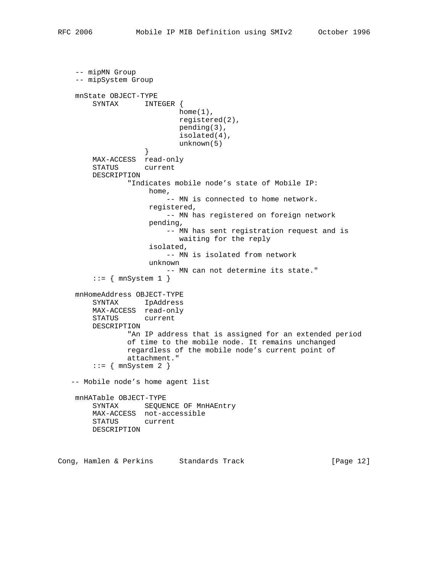```
 -- mipMN Group
    -- mipSystem Group
    mnState OBJECT-TYPE
        SYNTAX INTEGER {
                           home(1),
                            registered(2),
                            pending(3),
                            isolated(4),
                    unknown(5)
 }
        MAX-ACCESS read-only
        STATUS current
        DESCRIPTION
                "Indicates mobile node's state of Mobile IP:
                     home,
                         -- MN is connected to home network.
                     registered,
                         -- MN has registered on foreign network
                     pending,
                         -- MN has sent registration request and is
                            waiting for the reply
                     isolated,
                         -- MN is isolated from network
                     unknown
                         -- MN can not determine its state."
        ::= { mnSystem 1 }
    mnHomeAddress OBJECT-TYPE
        SYNTAX IpAddress
        MAX-ACCESS read-only
        STATUS current
        DESCRIPTION
                "An IP address that is assigned for an extended period
                of time to the mobile node. It remains unchanged
                regardless of the mobile node's current point of
                attachment."
       ::= { mnSystem 2 }
   -- Mobile node's home agent list
    mnHATable OBJECT-TYPE
       SYNTAX SEQUENCE OF MnHAEntry
        MAX-ACCESS not-accessible
        STATUS current
        DESCRIPTION
```
Cong, Hamlen & Perkins Standards Track [Page 12]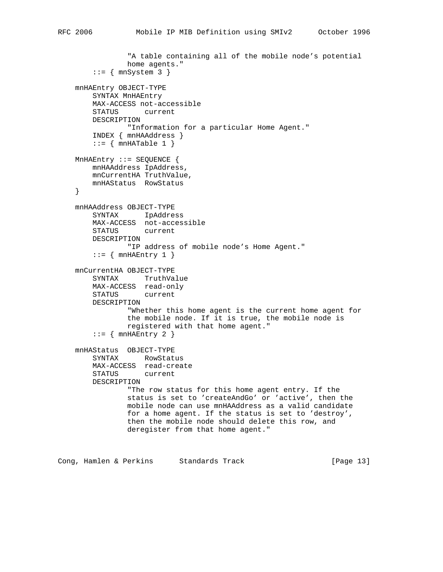```
 "A table containing all of the mobile node's potential
             home agents."
    ::= { mnSystem 3 }
 mnHAEntry OBJECT-TYPE
    SYNTAX MnHAEntry
    MAX-ACCESS not-accessible
    STATUS current
    DESCRIPTION
            "Information for a particular Home Agent."
     INDEX { mnHAAddress }
    ::= { mnHATable 1 }
MnHAEntry :: = SEQUENCE mnHAAddress IpAddress,
     mnCurrentHA TruthValue,
    mnHAStatus RowStatus
 }
 mnHAAddress OBJECT-TYPE
    SYNTAX IpAddress
    MAX-ACCESS not-accessible
    STATUS current
    DESCRIPTION
             "IP address of mobile node's Home Agent."
    ::= { mnHAEntry 1 }
 mnCurrentHA OBJECT-TYPE
    SYNTAX TruthValue
    MAX-ACCESS read-only
    STATUS current
    DESCRIPTION
             "Whether this home agent is the current home agent for
             the mobile node. If it is true, the mobile node is
            registered with that home agent."
    ::= { mnHAEntry 2 }
 mnHAStatus OBJECT-TYPE
    SYNTAX RowStatus
     MAX-ACCESS read-create
     STATUS current
    DESCRIPTION
             "The row status for this home agent entry. If the
             status is set to 'createAndGo' or 'active', then the
             mobile node can use mnHAAddress as a valid candidate
             for a home agent. If the status is set to 'destroy',
             then the mobile node should delete this row, and
             deregister from that home agent."
```
Cong, Hamlen & Perkins Standards Track (Page 13)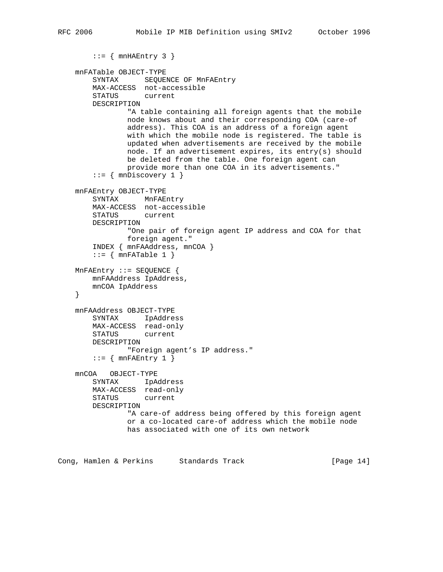```
::= { mnHAEntry 3 }
 mnFATable OBJECT-TYPE
     SYNTAX SEQUENCE OF MnFAEntry
     MAX-ACCESS not-accessible
     STATUS current
     DESCRIPTION
            "A table containing all foreign agents that the mobile
            node knows about and their corresponding COA (care-of
             address). This COA is an address of a foreign agent
            with which the mobile node is registered. The table is
             updated when advertisements are received by the mobile
             node. If an advertisement expires, its entry(s) should
             be deleted from the table. One foreign agent can
             provide more than one COA in its advertisements."
    ::= { mnDiscovery 1 }
 mnFAEntry OBJECT-TYPE
    SYNTAX MnFAEntry
    MAX-ACCESS not-accessible
    STATUS current
    DESCRIPTION
             "One pair of foreign agent IP address and COA for that
             foreign agent."
     INDEX { mnFAAddress, mnCOA }
    ::= { mnFATable 1 }
 MnFAEntry ::= SEQUENCE {
    mnFAAddress IpAddress,
    mnCOA IpAddress
 }
 mnFAAddress OBJECT-TYPE
     SYNTAX IpAddress
    MAX-ACCESS read-only
    STATUS current
    DESCRIPTION
            "Foreign agent's IP address."
    ::= { mnFAEntry 1 }
 mnCOA OBJECT-TYPE
    SYNTAX IpAddress
    MAX-ACCESS read-only
    STATUS current
    DESCRIPTION
             "A care-of address being offered by this foreign agent
             or a co-located care-of address which the mobile node
            has associated with one of its own network
```
Cong, Hamlen & Perkins Standards Track [Page 14]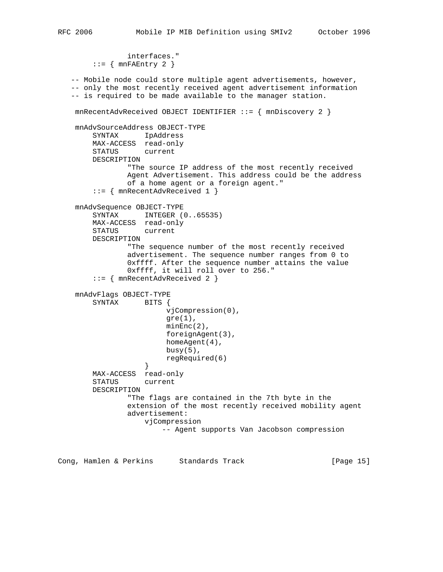```
 interfaces."
       ::= { mnFAEntry 2 }
   -- Mobile node could store multiple agent advertisements, however,
   -- only the most recently received agent advertisement information
   -- is required to be made available to the manager station.
    mnRecentAdvReceived OBJECT IDENTIFIER ::= { mnDiscovery 2 }
    mnAdvSourceAddress OBJECT-TYPE
        SYNTAX IpAddress
        MAX-ACCESS read-only
        STATUS current
        DESCRIPTION
                "The source IP address of the most recently received
                Agent Advertisement. This address could be the address
                of a home agent or a foreign agent."
        ::= { mnRecentAdvReceived 1 }
    mnAdvSequence OBJECT-TYPE
       SYNTAX INTEGER (0..65535) MAX-ACCESS read-only
        STATUS current
        DESCRIPTION
                "The sequence number of the most recently received
                advertisement. The sequence number ranges from 0 to
                0xffff. After the sequence number attains the value
                0xffff, it will roll over to 256."
        ::= { mnRecentAdvReceived 2 }
    mnAdvFlags OBJECT-TYPE
        SYNTAX BITS {
                         vjCompression(0),
                        gre(1),
                         minEnc(2),
                         foreignAgent(3),
                         homeAgent(4),
                        busy(5),
                         regRequired(6)
 }
        MAX-ACCESS read-only
        STATUS current
        DESCRIPTION
                "The flags are contained in the 7th byte in the
                extension of the most recently received mobility agent
                advertisement:
                    vjCompression
                         -- Agent supports Van Jacobson compression
```
Cong, Hamlen & Perkins Standards Track [Page 15]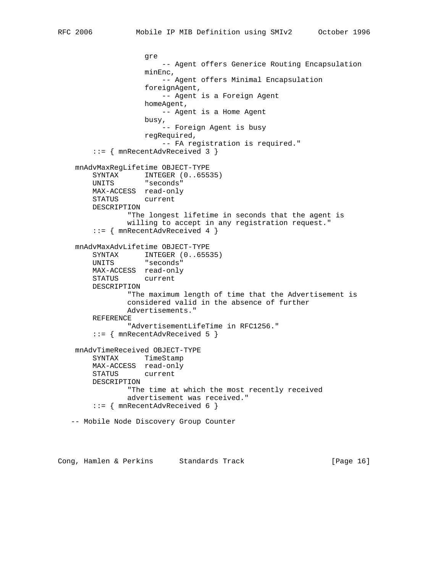```
 gre
                        -- Agent offers Generice Routing Encapsulation
                    minEnc,
                        -- Agent offers Minimal Encapsulation
                    foreignAgent,
                        -- Agent is a Foreign Agent
                    homeAgent,
                       -- Agent is a Home Agent
                    busy,
                        -- Foreign Agent is busy
                    regRequired,
                       -- FA registration is required."
        ::= { mnRecentAdvReceived 3 }
    mnAdvMaxRegLifetime OBJECT-TYPE
       SYNTAX INTEGER (0..65535)
        UNITS "seconds"
        MAX-ACCESS read-only
        STATUS current
        DESCRIPTION
                "The longest lifetime in seconds that the agent is
                willing to accept in any registration request."
        ::= { mnRecentAdvReceived 4 }
    mnAdvMaxAdvLifetime OBJECT-TYPE
SYNTAX INTEGER (0..65535)
 UNITS "seconds"
        MAX-ACCESS read-only
        STATUS current
        DESCRIPTION
                "The maximum length of time that the Advertisement is
                considered valid in the absence of further
                Advertisements."
        REFERENCE
                "AdvertisementLifeTime in RFC1256."
        ::= { mnRecentAdvReceived 5 }
    mnAdvTimeReceived OBJECT-TYPE
        SYNTAX TimeStamp
        MAX-ACCESS read-only
        STATUS current
        DESCRIPTION
                "The time at which the most recently received
                advertisement was received."
        ::= { mnRecentAdvReceived 6 }
   -- Mobile Node Discovery Group Counter
```
Cong, Hamlen & Perkins Standards Track [Page 16]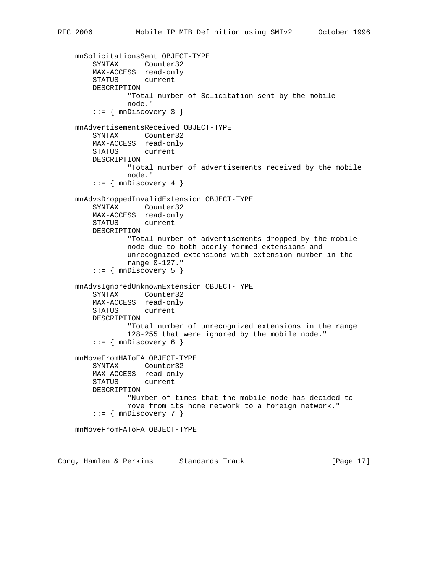```
 mnSolicitationsSent OBJECT-TYPE
 SYNTAX Counter32
 MAX-ACCESS read-only
        STATUS current
        DESCRIPTION
                "Total number of Solicitation sent by the mobile
                node."
       ::= { mnDiscovery 3 }
    mnAdvertisementsReceived OBJECT-TYPE
        SYNTAX Counter32
        MAX-ACCESS read-only
        STATUS current
        DESCRIPTION
                "Total number of advertisements received by the mobile
                node."
       ::= { mnDiscovery 4 }
    mnAdvsDroppedInvalidExtension OBJECT-TYPE
        SYNTAX Counter32
        MAX-ACCESS read-only
        STATUS current
        DESCRIPTION
                "Total number of advertisements dropped by the mobile
                node due to both poorly formed extensions and
                unrecognized extensions with extension number in the
                range 0-127."
       ::= { mnDiscovery 5 }
    mnAdvsIgnoredUnknownExtension OBJECT-TYPE
        SYNTAX Counter32
        MAX-ACCESS read-only
        STATUS current
        DESCRIPTION
                "Total number of unrecognized extensions in the range
                128-255 that were ignored by the mobile node."
       ::= { mnDiscovery 6 }
    mnMoveFromHAToFA OBJECT-TYPE
        SYNTAX Counter32
        MAX-ACCESS read-only
        STATUS current
        DESCRIPTION
                "Number of times that the mobile node has decided to
                move from its home network to a foreign network."
       ::= { mnDiscovery 7 }
    mnMoveFromFAToFA OBJECT-TYPE
```
Cong, Hamlen & Perkins Standards Track [Page 17]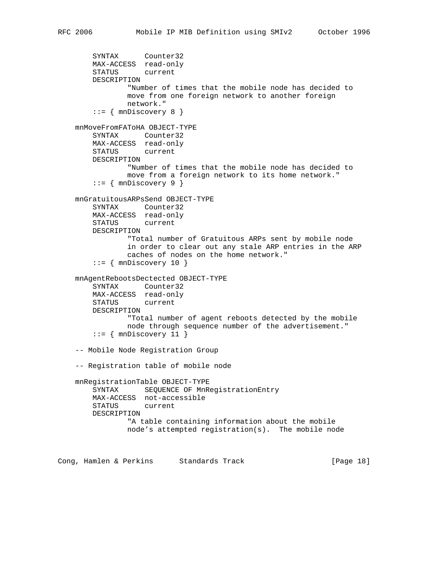```
 SYNTAX Counter32
    MAX-ACCESS read-only
     STATUS current
     DESCRIPTION
             "Number of times that the mobile node has decided to
             move from one foreign network to another foreign
             network."
    ::= { mnDiscovery 8 }
 mnMoveFromFAToHA OBJECT-TYPE
     SYNTAX Counter32
    MAX-ACCESS read-only
     STATUS current
    DESCRIPTION
             "Number of times that the mobile node has decided to
             move from a foreign network to its home network."
    ::= { mnDiscovery 9 }
 mnGratuitousARPsSend OBJECT-TYPE
    SYNTAX Counter32
    MAX-ACCESS read-only
     STATUS current
    DESCRIPTION
             "Total number of Gratuitous ARPs sent by mobile node
             in order to clear out any stale ARP entries in the ARP
             caches of nodes on the home network."
    ::= { mnDiscovery 10 }
 mnAgentRebootsDectected OBJECT-TYPE
     SYNTAX Counter32
    MAX-ACCESS read-only
    STATUS current
    DESCRIPTION
             "Total number of agent reboots detected by the mobile
            node through sequence number of the advertisement."
    ::= { mnDiscovery 11 }
 -- Mobile Node Registration Group
 -- Registration table of mobile node
 mnRegistrationTable OBJECT-TYPE
     SYNTAX SEQUENCE OF MnRegistrationEntry
    MAX-ACCESS not-accessible
    STATUS current
    DESCRIPTION
             "A table containing information about the mobile
             node's attempted registration(s). The mobile node
```
Cong, Hamlen & Perkins Standards Track [Page 18]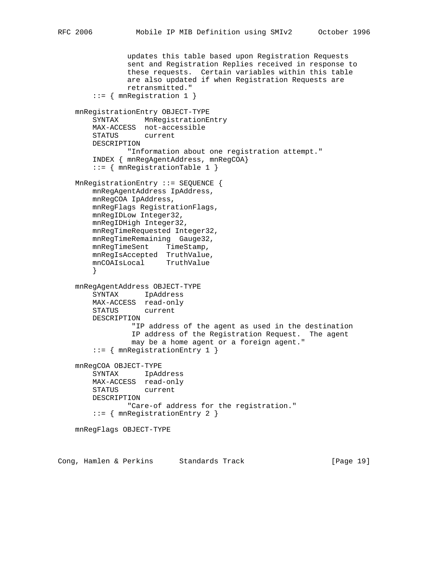```
 updates this table based upon Registration Requests
                sent and Registration Replies received in response to
                these requests. Certain variables within this table
                are also updated if when Registration Requests are
                retransmitted."
        ::= { mnRegistration 1 }
    mnRegistrationEntry OBJECT-TYPE
        SYNTAX MnRegistrationEntry
        MAX-ACCESS not-accessible
        STATUS current
        DESCRIPTION
               "Information about one registration attempt."
        INDEX { mnRegAgentAddress, mnRegCOA}
        ::= { mnRegistrationTable 1 }
    MnRegistrationEntry ::= SEQUENCE {
        mnRegAgentAddress IpAddress,
        mnRegCOA IpAddress,
        mnRegFlags RegistrationFlags,
        mnRegIDLow Integer32,
        mnRegIDHigh Integer32,
        mnRegTimeRequested Integer32,
        mnRegTimeRemaining Gauge32,
       mnRegTimeSent TimeStamp,
 mnRegIsAccepted TruthValue,
 mnCOAIsLocal TruthValue
        }
    mnRegAgentAddress OBJECT-TYPE
        SYNTAX IpAddress
        MAX-ACCESS read-only
        STATUS current
        DESCRIPTION
                 "IP address of the agent as used in the destination
                 IP address of the Registration Request. The agent
                 may be a home agent or a foreign agent."
        ::= { mnRegistrationEntry 1 }
    mnRegCOA OBJECT-TYPE
        SYNTAX IpAddress
        MAX-ACCESS read-only
        STATUS current
        DESCRIPTION
                "Care-of address for the registration."
        ::= { mnRegistrationEntry 2 }
    mnRegFlags OBJECT-TYPE
```
Cong, Hamlen & Perkins Standards Track [Page 19]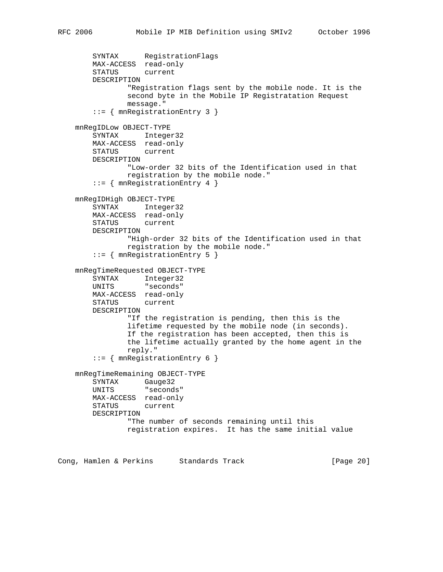```
 SYNTAX RegistrationFlags
    MAX-ACCESS read-only
    STATUS current
    DESCRIPTION
             "Registration flags sent by the mobile node. It is the
             second byte in the Mobile IP Registratation Request
            message."
     ::= { mnRegistrationEntry 3 }
 mnRegIDLow OBJECT-TYPE
    SYNTAX Integer32
    MAX-ACCESS read-only
    STATUS current
    DESCRIPTION
            "Low-order 32 bits of the Identification used in that
            registration by the mobile node."
     ::= { mnRegistrationEntry 4 }
 mnRegIDHigh OBJECT-TYPE
    SYNTAX Integer32
    MAX-ACCESS read-only
    STATUS current
    DESCRIPTION
            "High-order 32 bits of the Identification used in that
            registration by the mobile node."
     ::= { mnRegistrationEntry 5 }
 mnRegTimeRequested OBJECT-TYPE
    SYNTAX Integer32
    UNITS "seconds"
    MAX-ACCESS read-only
    STATUS current
    DESCRIPTION
             "If the registration is pending, then this is the
             lifetime requested by the mobile node (in seconds).
             If the registration has been accepted, then this is
             the lifetime actually granted by the home agent in the
             reply."
     ::= { mnRegistrationEntry 6 }
 mnRegTimeRemaining OBJECT-TYPE
    SYNTAX Gauge32
    UNITS "seconds"
    MAX-ACCESS read-only
    STATUS current
    DESCRIPTION
             "The number of seconds remaining until this
            registration expires. It has the same initial value
```
Cong, Hamlen & Perkins Standards Track [Page 20]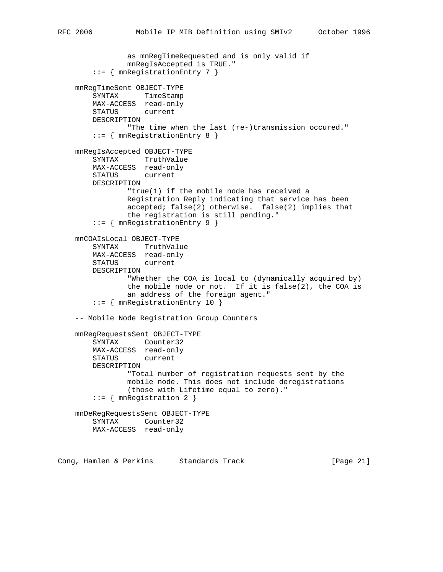```
 as mnRegTimeRequested and is only valid if
             mnRegIsAccepted is TRUE."
     ::= { mnRegistrationEntry 7 }
 mnRegTimeSent OBJECT-TYPE
     SYNTAX TimeStamp
    MAX-ACCESS read-only
    STATUS current
     DESCRIPTION
             "The time when the last (re-)transmission occured."
     ::= { mnRegistrationEntry 8 }
 mnRegIsAccepted OBJECT-TYPE
     SYNTAX TruthValue
    MAX-ACCESS read-only
     STATUS current
    DESCRIPTION
             "true(1) if the mobile node has received a
             Registration Reply indicating that service has been
             accepted; false(2) otherwise. false(2) implies that
             the registration is still pending."
     ::= { mnRegistrationEntry 9 }
 mnCOAIsLocal OBJECT-TYPE
     SYNTAX TruthValue
    MAX-ACCESS read-only
     STATUS current
     DESCRIPTION
             "Whether the COA is local to (dynamically acquired by)
             the mobile node or not. If it is false(2), the COA is
             an address of the foreign agent."
     ::= { mnRegistrationEntry 10 }
 -- Mobile Node Registration Group Counters
 mnRegRequestsSent OBJECT-TYPE
     SYNTAX Counter32
    MAX-ACCESS read-only
     STATUS current
     DESCRIPTION
             "Total number of registration requests sent by the
             mobile node. This does not include deregistrations
             (those with Lifetime equal to zero)."
     ::= { mnRegistration 2 }
 mnDeRegRequestsSent OBJECT-TYPE
    SYNTAX Counter32
    MAX-ACCESS read-only
```
Cong, Hamlen & Perkins Standards Track [Page 21]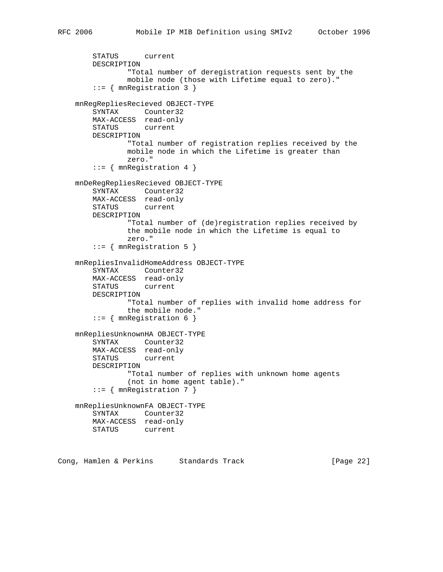```
 STATUS current
    DESCRIPTION
            "Total number of deregistration requests sent by the
            mobile node (those with Lifetime equal to zero)."
     ::= { mnRegistration 3 }
 mnRegRepliesRecieved OBJECT-TYPE
    SYNTAX Counter32
    MAX-ACCESS read-only
    STATUS current
    DESCRIPTION
            "Total number of registration replies received by the
            mobile node in which the Lifetime is greater than
            zero."
     ::= { mnRegistration 4 }
 mnDeRegRepliesRecieved OBJECT-TYPE
    SYNTAX Counter32
    MAX-ACCESS read-only
    STATUS current
    DESCRIPTION
            "Total number of (de)registration replies received by
            the mobile node in which the Lifetime is equal to
            zero."
     ::= { mnRegistration 5 }
 mnRepliesInvalidHomeAddress OBJECT-TYPE
     SYNTAX Counter32
    MAX-ACCESS read-only
    STATUS current
    DESCRIPTION
            "Total number of replies with invalid home address for
             the mobile node."
     ::= { mnRegistration 6 }
 mnRepliesUnknownHA OBJECT-TYPE
    SYNTAX Counter32
    MAX-ACCESS read-only
    STATUS current
    DESCRIPTION
             "Total number of replies with unknown home agents
             (not in home agent table)."
     ::= { mnRegistration 7 }
 mnRepliesUnknownFA OBJECT-TYPE
    SYNTAX Counter32
    MAX-ACCESS read-only
    STATUS current
```
Cong, Hamlen & Perkins Standards Track [Page 22]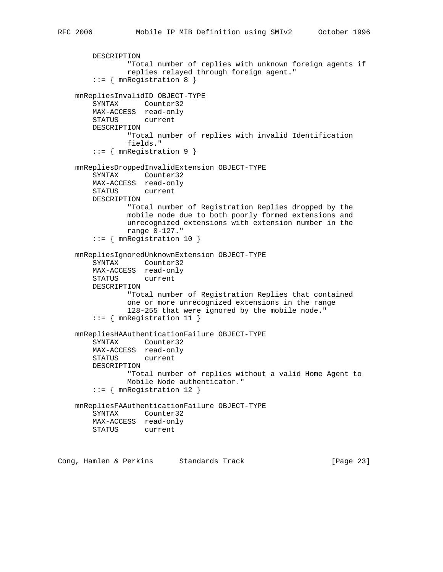```
 DESCRIPTION
             "Total number of replies with unknown foreign agents if
             replies relayed through foreign agent."
     ::= { mnRegistration 8 }
 mnRepliesInvalidID OBJECT-TYPE
     SYNTAX Counter32
    MAX-ACCESS read-only
    STATUS current
    DESCRIPTION
            "Total number of replies with invalid Identification
            fields."
     ::= { mnRegistration 9 }
 mnRepliesDroppedInvalidExtension OBJECT-TYPE
     SYNTAX Counter32
    MAX-ACCESS read-only
    STATUS current
    DESCRIPTION
            "Total number of Registration Replies dropped by the
            mobile node due to both poorly formed extensions and
            unrecognized extensions with extension number in the
            range 0-127."
     ::= { mnRegistration 10 }
 mnRepliesIgnoredUnknownExtension OBJECT-TYPE
     SYNTAX Counter32
    MAX-ACCESS read-only
    STATUS current
    DESCRIPTION
             "Total number of Registration Replies that contained
             one or more unrecognized extensions in the range
             128-255 that were ignored by the mobile node."
     ::= { mnRegistration 11 }
 mnRepliesHAAuthenticationFailure OBJECT-TYPE
     SYNTAX Counter32
    MAX-ACCESS read-only
    STATUS current
    DESCRIPTION
             "Total number of replies without a valid Home Agent to
            Mobile Node authenticator."
     ::= { mnRegistration 12 }
 mnRepliesFAAuthenticationFailure OBJECT-TYPE
    SYNTAX Counter32
    MAX-ACCESS read-only
    STATUS current
```
Cong, Hamlen & Perkins Standards Track [Page 23]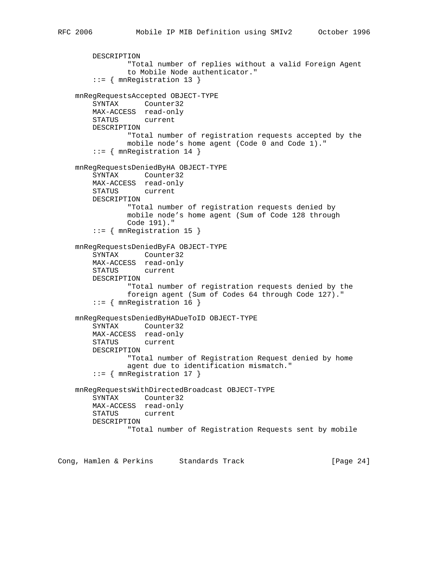```
 DESCRIPTION
             "Total number of replies without a valid Foreign Agent
             to Mobile Node authenticator."
     ::= { mnRegistration 13 }
 mnRegRequestsAccepted OBJECT-TYPE
     SYNTAX Counter32
    MAX-ACCESS read-only
    STATUS current
     DESCRIPTION
             "Total number of registration requests accepted by the
             mobile node's home agent (Code 0 and Code 1)."
     ::= { mnRegistration 14 }
 mnRegRequestsDeniedByHA OBJECT-TYPE
     SYNTAX Counter32
   MAX-ACCESS read-only<br>STATUS current
    STATUS
    DESCRIPTION
             "Total number of registration requests denied by
             mobile node's home agent (Sum of Code 128 through
             Code 191)."
     ::= { mnRegistration 15 }
 mnRegRequestsDeniedByFA OBJECT-TYPE
     SYNTAX Counter32
    MAX-ACCESS read-only
     STATUS current
     DESCRIPTION
             "Total number of registration requests denied by the
             foreign agent (Sum of Codes 64 through Code 127)."
     ::= \{ mnRegistration 16 \} mnRegRequestsDeniedByHADueToID OBJECT-TYPE
     SYNTAX Counter32
    MAX-ACCESS read-only
     STATUS current
     DESCRIPTION
             "Total number of Registration Request denied by home
             agent due to identification mismatch."
     ::= { mnRegistration 17 }
 mnRegRequestsWithDirectedBroadcast OBJECT-TYPE
     SYNTAX Counter32
    MAX-ACCESS read-only
     STATUS current
    DESCRIPTION
             "Total number of Registration Requests sent by mobile
```
Cong, Hamlen & Perkins Standards Track [Page 24]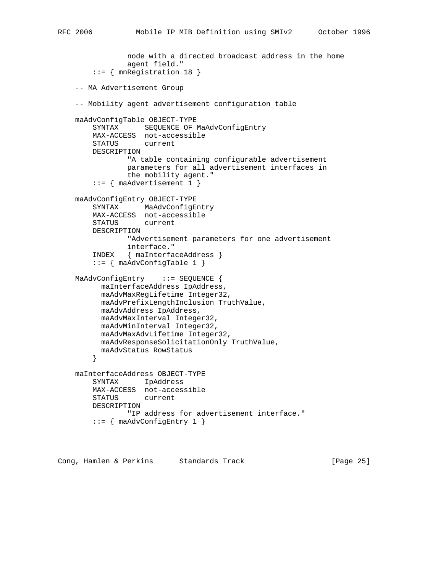```
 node with a directed broadcast address in the home
                agent field."
        ::= { mnRegistration 18 }
    -- MA Advertisement Group
    -- Mobility agent advertisement configuration table
    maAdvConfigTable OBJECT-TYPE
        SYNTAX SEQUENCE OF MaAdvConfigEntry
        MAX-ACCESS not-accessible
        STATUS current
        DESCRIPTION
                "A table containing configurable advertisement
                parameters for all advertisement interfaces in
                the mobility agent."
       ::= { maAdvertisement 1 }
    maAdvConfigEntry OBJECT-TYPE
        SYNTAX MaAdvConfigEntry
        MAX-ACCESS not-accessible
        STATUS current
        DESCRIPTION
                "Advertisement parameters for one advertisement
                interface."
        INDEX { maInterfaceAddress }
       ::= { maAdvConfigTable 1 }
    MaAdvConfigEntry ::= SEQUENCE {
          maInterfaceAddress IpAddress,
          maAdvMaxRegLifetime Integer32,
          maAdvPrefixLengthInclusion TruthValue,
          maAdvAddress IpAddress,
          maAdvMaxInterval Integer32,
          maAdvMinInterval Integer32,
          maAdvMaxAdvLifetime Integer32,
          maAdvResponseSolicitationOnly TruthValue,
          maAdvStatus RowStatus
 }
    maInterfaceAddress OBJECT-TYPE
        SYNTAX IpAddress
        MAX-ACCESS not-accessible
        STATUS current
        DESCRIPTION
                "IP address for advertisement interface."
       ::= { maAdvConfigEntry 1 }
```
Cong, Hamlen & Perkins Standards Track [Page 25]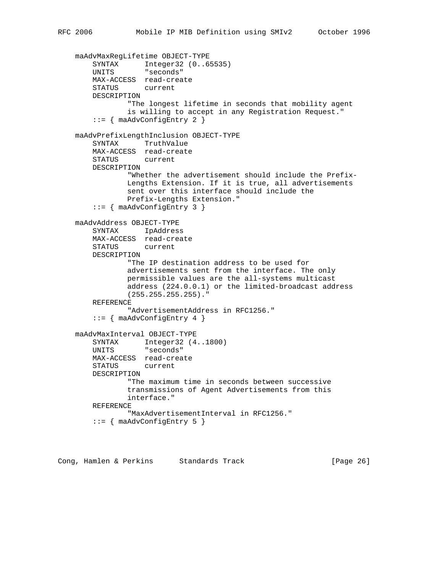```
 maAdvMaxRegLifetime OBJECT-TYPE
       SYNTAX Integer32 (0..65535)
        UNITS "seconds"
        MAX-ACCESS read-create
        STATUS current
        DESCRIPTION
                "The longest lifetime in seconds that mobility agent
                is willing to accept in any Registration Request."
       ::= { maAdvConfigEntry 2 }
    maAdvPrefixLengthInclusion OBJECT-TYPE
        SYNTAX TruthValue
        MAX-ACCESS read-create
        STATUS current
        DESCRIPTION
                "Whether the advertisement should include the Prefix-
                Lengths Extension. If it is true, all advertisements
                sent over this interface should include the
                Prefix-Lengths Extension."
        ::= { maAdvConfigEntry 3 }
    maAdvAddress OBJECT-TYPE
        SYNTAX IpAddress
        MAX-ACCESS read-create
        STATUS current
        DESCRIPTION
                "The IP destination address to be used for
                advertisements sent from the interface. The only
                permissible values are the all-systems multicast
                address (224.0.0.1) or the limited-broadcast address
                (255.255.255.255)."
        REFERENCE
                "AdvertisementAddress in RFC1256."
        ::= { maAdvConfigEntry 4 }
    maAdvMaxInterval OBJECT-TYPE
 SYNTAX Integer32 (4..1800)
 UNITS "seconds"
        MAX-ACCESS read-create
        STATUS current
        DESCRIPTION
                "The maximum time in seconds between successive
                transmissions of Agent Advertisements from this
                interface."
        REFERENCE
                "MaxAdvertisementInterval in RFC1256."
       ::= { maAdvConfigEntry 5 }
```
Cong, Hamlen & Perkins Standards Track (Page 26)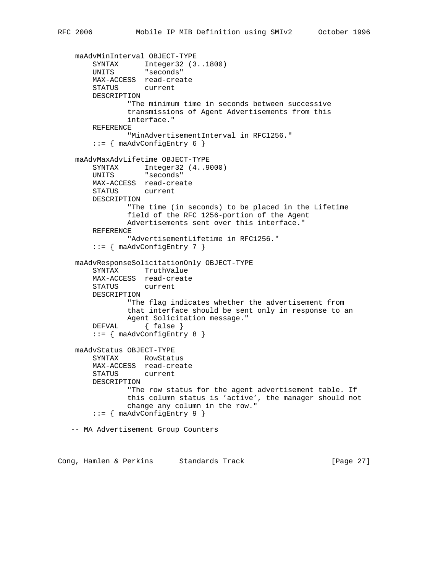```
 maAdvMinInterval OBJECT-TYPE
 SYNTAX Integer32 (3..1800)
 UNITS "seconds"
        MAX-ACCESS read-create
        STATUS current
        DESCRIPTION
                "The minimum time in seconds between successive
                transmissions of Agent Advertisements from this
                interface."
        REFERENCE
                "MinAdvertisementInterval in RFC1256."
       ::= { maAdvConfigEntry 6 }
    maAdvMaxAdvLifetime OBJECT-TYPE
 SYNTAX Integer32 (4..9000)
 UNITS "seconds"
        MAX-ACCESS read-create
        STATUS current
        DESCRIPTION
                "The time (in seconds) to be placed in the Lifetime
                field of the RFC 1256-portion of the Agent
                Advertisements sent over this interface."
        REFERENCE
                "AdvertisementLifetime in RFC1256."
        ::= { maAdvConfigEntry 7 }
    maAdvResponseSolicitationOnly OBJECT-TYPE
        SYNTAX TruthValue
        MAX-ACCESS read-create
        STATUS current
        DESCRIPTION
                "The flag indicates whether the advertisement from
                that interface should be sent only in response to an
               Agent Solicitation message."
       DEFVAL { false }
        ::= { maAdvConfigEntry 8 }
    maAdvStatus OBJECT-TYPE
        SYNTAX RowStatus
        MAX-ACCESS read-create
        STATUS current
        DESCRIPTION
                "The row status for the agent advertisement table. If
                this column status is 'active', the manager should not
                change any column in the row."
        ::= { maAdvConfigEntry 9 }
   -- MA Advertisement Group Counters
```
Cong, Hamlen & Perkins Standards Track [Page 27]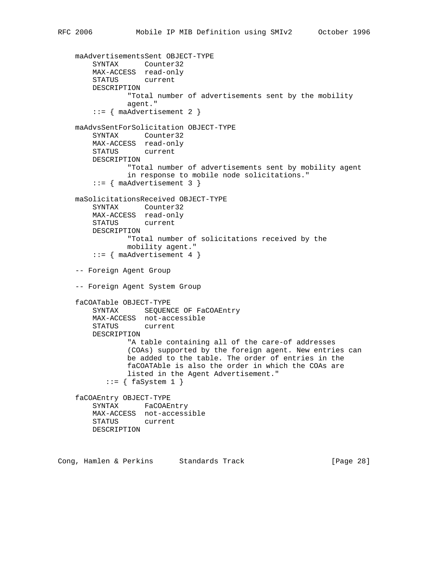```
 maAdvertisementsSent OBJECT-TYPE
 SYNTAX Counter32
 MAX-ACCESS read-only
        STATUS current
        DESCRIPTION
                "Total number of advertisements sent by the mobility
                agent."
       ::= { maAdvertisement 2 }
    maAdvsSentForSolicitation OBJECT-TYPE
        SYNTAX Counter32
        MAX-ACCESS read-only
        STATUS current
        DESCRIPTION
                "Total number of advertisements sent by mobility agent
                in response to mobile node solicitations."
       ::= { maAdvertisement 3 }
    maSolicitationsReceived OBJECT-TYPE
        SYNTAX Counter32
        MAX-ACCESS read-only
        STATUS current
        DESCRIPTION
                "Total number of solicitations received by the
                mobility agent."
        ::= { maAdvertisement 4 }
    -- Foreign Agent Group
    -- Foreign Agent System Group
    faCOATable OBJECT-TYPE
       SYNTAX SEQUENCE OF FaCOAEntry
        MAX-ACCESS not-accessible
        STATUS current
        DESCRIPTION
                "A table containing all of the care-of addresses
                (COAs) supported by the foreign agent. New entries can
                be added to the table. The order of entries in the
                faCOATAble is also the order in which the COAs are
                listed in the Agent Advertisement."
          ::= \{ fagsystem 1 \} faCOAEntry OBJECT-TYPE
        SYNTAX FaCOAEntry
        MAX-ACCESS not-accessible
        STATUS current
        DESCRIPTION
```
Cong, Hamlen & Perkins Standards Track [Page 28]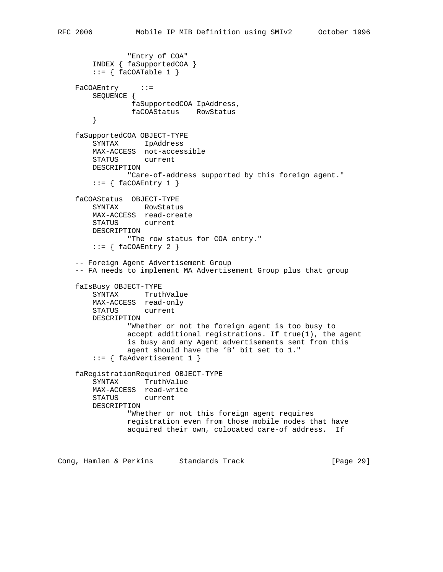```
 "Entry of COA"
     INDEX { faSupportedCOA }
    ::= { faCOATable 1 }
FaCOAEntry ::=
    SEQUENCE {
            faSupportedCOA IpAddress,
             faCOAStatus RowStatus
     }
 faSupportedCOA OBJECT-TYPE
    SYNTAX IpAddress
    MAX-ACCESS not-accessible
     STATUS current
    DESCRIPTION
            "Care-of-address supported by this foreign agent."
    ::= \{ \text{facOAEntry 1 } \} faCOAStatus OBJECT-TYPE
    SYNTAX RowStatus
    MAX-ACCESS read-create
    STATUS current
    DESCRIPTION
            "The row status for COA entry."
    ::= { faCOAEntry 2 }
 -- Foreign Agent Advertisement Group
 -- FA needs to implement MA Advertisement Group plus that group
 faIsBusy OBJECT-TYPE
    SYNTAX TruthValue
    MAX-ACCESS read-only
    STATUS current
    DESCRIPTION
             "Whether or not the foreign agent is too busy to
            accept additional registrations. If true(1), the agent
             is busy and any Agent advertisements sent from this
             agent should have the 'B' bit set to 1."
    ::= { faAdvertisement 1 }
 faRegistrationRequired OBJECT-TYPE
    SYNTAX TruthValue
    MAX-ACCESS read-write
    STATUS current
    DESCRIPTION
             "Whether or not this foreign agent requires
            registration even from those mobile nodes that have
            acquired their own, colocated care-of address. If
```
Cong, Hamlen & Perkins Standards Track [Page 29]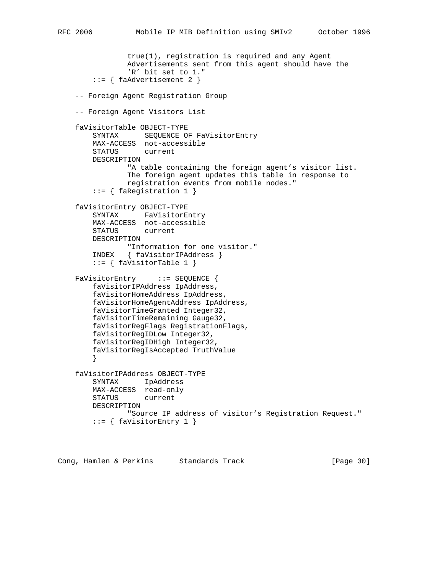```
 true(1), registration is required and any Agent
                Advertisements sent from this agent should have the
                 'R' bit set to 1."
         ::= { faAdvertisement 2 }
    -- Foreign Agent Registration Group
    -- Foreign Agent Visitors List
    faVisitorTable OBJECT-TYPE
        SYNTAX SEQUENCE OF FaVisitorEntry
        MAX-ACCESS not-accessible
        STATUS current
        DESCRIPTION
                "A table containing the foreign agent's visitor list.
                The foreign agent updates this table in response to
                registration events from mobile nodes."
         ::= { faRegistration 1 }
    faVisitorEntry OBJECT-TYPE
        SYNTAX FaVisitorEntry
        MAX-ACCESS not-accessible
        STATUS current
        DESCRIPTION
                "Information for one visitor."
        INDEX { faVisitorIPAddress }
        ::= { faVisitorTable 1 }
   FaVisitorEntry ::= SEQUENCE {
        faVisitorIPAddress IpAddress,
        faVisitorHomeAddress IpAddress,
        faVisitorHomeAgentAddress IpAddress,
        faVisitorTimeGranted Integer32,
        faVisitorTimeRemaining Gauge32,
        faVisitorRegFlags RegistrationFlags,
        faVisitorRegIDLow Integer32,
        faVisitorRegIDHigh Integer32,
         faVisitorRegIsAccepted TruthValue
 }
    faVisitorIPAddress OBJECT-TYPE
        SYNTAX IpAddress
        MAX-ACCESS read-only
        STATUS current
        DESCRIPTION
                 "Source IP address of visitor's Registration Request."
        ::= { faVisitorEntry 1 }
```
Cong, Hamlen & Perkins Standards Track [Page 30]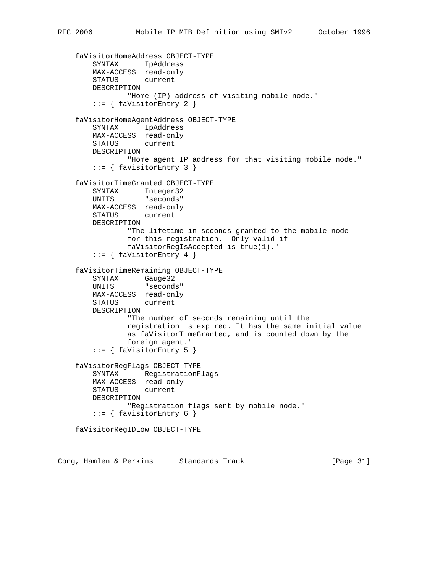```
 faVisitorHomeAddress OBJECT-TYPE
 SYNTAX IpAddress
 MAX-ACCESS read-only
        STATUS current
        DESCRIPTION
                "Home (IP) address of visiting mobile node."
        ::= { faVisitorEntry 2 }
    faVisitorHomeAgentAddress OBJECT-TYPE
        SYNTAX IpAddress
        MAX-ACCESS read-only
        STATUS current
        DESCRIPTION
               "Home agent IP address for that visiting mobile node."
       ::= { faVisitorEntry 3 }
    faVisitorTimeGranted OBJECT-TYPE
        SYNTAX Integer32
        UNITS "seconds"
        MAX-ACCESS read-only
        STATUS current
        DESCRIPTION
                "The lifetime in seconds granted to the mobile node
                for this registration. Only valid if
                faVisitorRegIsAccepted is true(1)."
       ::= { faVisitorEntry 4 }
    faVisitorTimeRemaining OBJECT-TYPE
 SYNTAX Gauge32
 UNITS "seconds"
        MAX-ACCESS read-only
        STATUS current
        DESCRIPTION
                "The number of seconds remaining until the
                registration is expired. It has the same initial value
                as faVisitorTimeGranted, and is counted down by the
                foreign agent."
        ::= { faVisitorEntry 5 }
    faVisitorRegFlags OBJECT-TYPE
        SYNTAX RegistrationFlags
       MAX-ACCESS read-only<br>STATUS current
       STATUS
        DESCRIPTION
                "Registration flags sent by mobile node."
       ::= { faVisitorEntry 6 }
    faVisitorRegIDLow OBJECT-TYPE
```
Cong, Hamlen & Perkins Standards Track [Page 31]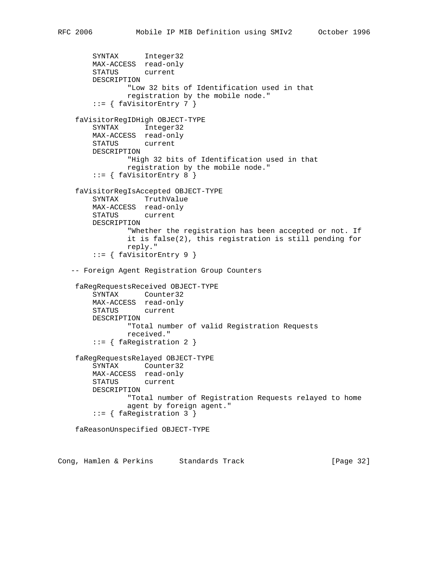```
 SYNTAX Integer32
     MAX-ACCESS read-only
     STATUS current
     DESCRIPTION
              "Low 32 bits of Identification used in that
             registration by the mobile node."
      ::= { faVisitorEntry 7 }
  faVisitorRegIDHigh OBJECT-TYPE
      SYNTAX Integer32
     MAX-ACCESS read-only
     STATUS current
     DESCRIPTION
             "High 32 bits of Identification used in that
             registration by the mobile node."
     ::= { faVisitorEntry 8 }
  faVisitorRegIsAccepted OBJECT-TYPE
     SYNTAX TruthValue
     MAX-ACCESS read-only
     STATUS current
     DESCRIPTION
              "Whether the registration has been accepted or not. If
              it is false(2), this registration is still pending for
             reply."
     ::= { faVisitorEntry 9 }
 -- Foreign Agent Registration Group Counters
  faRegRequestsReceived OBJECT-TYPE
     SYNTAX Counter32
     MAX-ACCESS read-only
     STATUS current
     DESCRIPTION
             "Total number of valid Registration Requests
             received."
      ::= { faRegistration 2 }
  faRegRequestsRelayed OBJECT-TYPE
     SYNTAX Counter32
     MAX-ACCESS read-only
     STATUS current
     DESCRIPTION
              "Total number of Registration Requests relayed to home
              agent by foreign agent."
      ::= { faRegistration 3 }
  faReasonUnspecified OBJECT-TYPE
```
Cong, Hamlen & Perkins Standards Track [Page 32]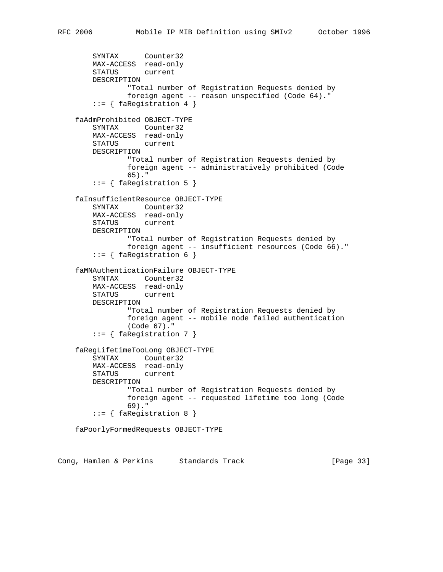```
 SYNTAX Counter32
    MAX-ACCESS read-only
    STATUS current
    DESCRIPTION
            "Total number of Registration Requests denied by
            foreign agent -- reason unspecified (Code 64)."
     ::= { faRegistration 4 }
 faAdmProhibited OBJECT-TYPE
    SYNTAX Counter32
    MAX-ACCESS read-only
    STATUS current
    DESCRIPTION
            "Total number of Registration Requests denied by
            foreign agent -- administratively prohibited (Code
            65)."
    ::= { faRegistration 5 }
 faInsufficientResource OBJECT-TYPE
    SYNTAX Counter32
    MAX-ACCESS read-only
    STATUS current
    DESCRIPTION
            "Total number of Registration Requests denied by
            foreign agent -- insufficient resources (Code 66)."
     ::= { faRegistration 6 }
 faMNAuthenticationFailure OBJECT-TYPE
    SYNTAX Counter32
    MAX-ACCESS read-only
    STATUS current
    DESCRIPTION
            "Total number of Registration Requests denied by
            foreign agent -- mobile node failed authentication
            (Code 67)."
     ::= { faRegistration 7 }
 faRegLifetimeTooLong OBJECT-TYPE
     SYNTAX Counter32
    MAX-ACCESS read-only
    STATUS current
    DESCRIPTION
            "Total number of Registration Requests denied by
            foreign agent -- requested lifetime too long (Code
            69)."
     ::= { faRegistration 8 }
 faPoorlyFormedRequests OBJECT-TYPE
```
Cong, Hamlen & Perkins Standards Track [Page 33]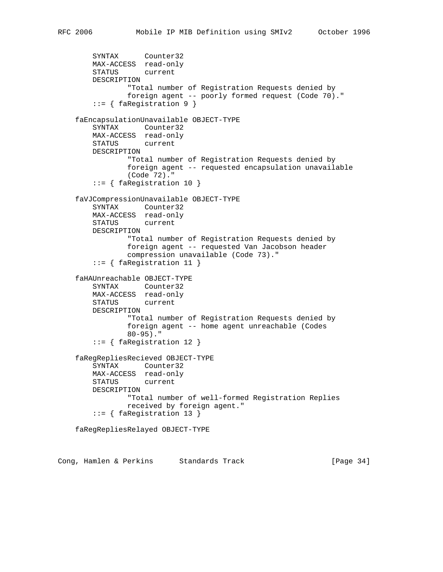```
 SYNTAX Counter32
    MAX-ACCESS read-only
    STATUS current
    DESCRIPTION
            "Total number of Registration Requests denied by
            foreign agent -- poorly formed request (Code 70)."
     ::= { faRegistration 9 }
 faEncapsulationUnavailable OBJECT-TYPE
    SYNTAX Counter32
    MAX-ACCESS read-only
    STATUS current
    DESCRIPTION
            "Total number of Registration Requests denied by
            foreign agent -- requested encapsulation unavailable
            (Code 72)."
     ::= { faRegistration 10 }
 faVJCompressionUnavailable OBJECT-TYPE
    SYNTAX Counter32
    MAX-ACCESS read-only
    STATUS current
    DESCRIPTION
            "Total number of Registration Requests denied by
            foreign agent -- requested Van Jacobson header
            compression unavailable (Code 73)."
     ::= { faRegistration 11 }
 faHAUnreachable OBJECT-TYPE
    SYNTAX Counter32
    MAX-ACCESS read-only
    STATUS current
    DESCRIPTION
            "Total number of Registration Requests denied by
            foreign agent -- home agent unreachable (Codes
            80-95)."
     ::= { faRegistration 12 }
 faRegRepliesRecieved OBJECT-TYPE
    SYNTAX Counter32
    MAX-ACCESS read-only
    STATUS current
    DESCRIPTION
            "Total number of well-formed Registration Replies
            received by foreign agent."
     ::= { faRegistration 13 }
 faRegRepliesRelayed OBJECT-TYPE
```
Cong, Hamlen & Perkins Standards Track [Page 34]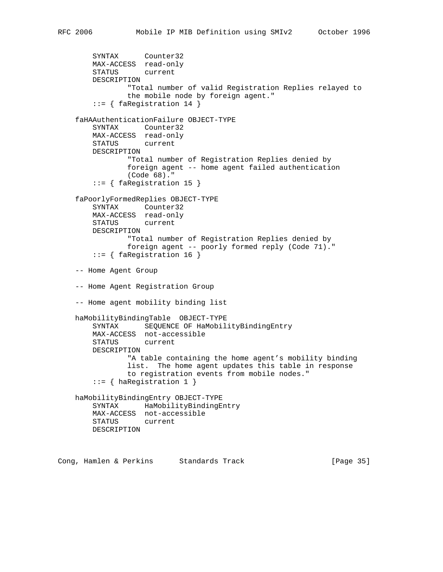```
 SYNTAX Counter32
    MAX-ACCESS read-only
     STATUS current
     DESCRIPTION
             "Total number of valid Registration Replies relayed to
             the mobile node by foreign agent."
     ::= { faRegistration 14 }
 faHAAuthenticationFailure OBJECT-TYPE
     SYNTAX Counter32
    MAX-ACCESS read-only
    STATUS current
    DESCRIPTION
            "Total number of Registration Replies denied by
             foreign agent -- home agent failed authentication
             (Code 68)."
     ::= { faRegistration 15 }
 faPoorlyFormedReplies OBJECT-TYPE
     SYNTAX Counter32
    MAX-ACCESS read-only
     STATUS current
    DESCRIPTION
             "Total number of Registration Replies denied by
             foreign agent -- poorly formed reply (Code 71)."
     ::= { faRegistration 16 }
 -- Home Agent Group
 -- Home Agent Registration Group
 -- Home agent mobility binding list
 haMobilityBindingTable OBJECT-TYPE
     SYNTAX SEQUENCE OF HaMobilityBindingEntry
    MAX-ACCESS not-accessible
     STATUS current
    DESCRIPTION
            "A table containing the home agent's mobility binding
             list. The home agent updates this table in response
             to registration events from mobile nodes."
     ::= { haRegistration 1 }
 haMobilityBindingEntry OBJECT-TYPE
     SYNTAX HaMobilityBindingEntry
    MAX-ACCESS not-accessible
    STATUS current
    DESCRIPTION
```
Cong, Hamlen & Perkins Standards Track [Page 35]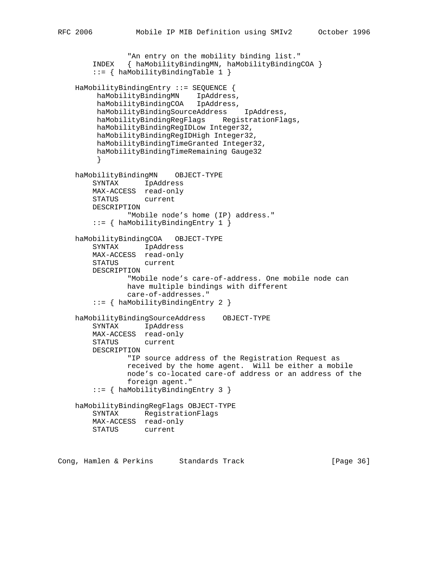```
"An entry on the mobility binding list."
        INDEX { haMobilityBindingMN, haMobilityBindingCOA }
        ::= { haMobilityBindingTable 1 }
    HaMobilityBindingEntry ::= SEQUENCE {
 haMobilityBindingMN IpAddress,
 haMobilityBindingCOA IpAddress,
         haMobilityBindingSourceAddress IpAddress,
         haMobilityBindingRegFlags RegistrationFlags,
         haMobilityBindingRegIDLow Integer32,
         haMobilityBindingRegIDHigh Integer32,
         haMobilityBindingTimeGranted Integer32,
         haMobilityBindingTimeRemaining Gauge32
 }
    haMobilityBindingMN OBJECT-TYPE
        SYNTAX IpAddress
       MAX-ACCESS read-only<br>STATUS current
       STATUS
        DESCRIPTION
                "Mobile node's home (IP) address."
        ::= { haMobilityBindingEntry 1 }
    haMobilityBindingCOA OBJECT-TYPE
        SYNTAX IpAddress
        MAX-ACCESS read-only
        STATUS current
        DESCRIPTION
                "Mobile node's care-of-address. One mobile node can
                have multiple bindings with different
                care-of-addresses."
        ::= { haMobilityBindingEntry 2 }
    haMobilityBindingSourceAddress OBJECT-TYPE
        SYNTAX IpAddress
        MAX-ACCESS read-only
        STATUS current
        DESCRIPTION
                "IP source address of the Registration Request as
                received by the home agent. Will be either a mobile
                node's co-located care-of address or an address of the
                foreign agent."
        ::= { haMobilityBindingEntry 3 }
    haMobilityBindingRegFlags OBJECT-TYPE
        SYNTAX RegistrationFlags
        MAX-ACCESS read-only
        STATUS current
```
Cong, Hamlen & Perkins Standards Track [Page 36]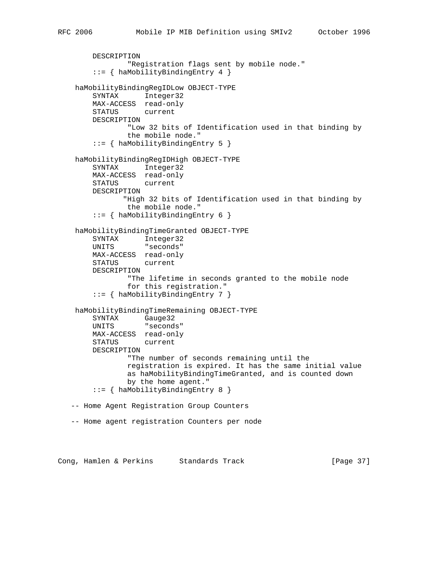```
 DESCRIPTION
              "Registration flags sent by mobile node."
      ::= { haMobilityBindingEntry 4 }
 haMobilityBindingRegIDLow OBJECT-TYPE
     SYNTAX Integer32
     MAX-ACCESS read-only
     STATUS current
     DESCRIPTION
              "Low 32 bits of Identification used in that binding by
             the mobile node."
      ::= { haMobilityBindingEntry 5 }
 haMobilityBindingRegIDHigh OBJECT-TYPE
      SYNTAX Integer32
    MAX-ACCESS read-only<br>STATUS current
    STATUS
     DESCRIPTION
             "High 32 bits of Identification used in that binding by
             the mobile node."
      ::= { haMobilityBindingEntry 6 }
 haMobilityBindingTimeGranted OBJECT-TYPE
     SYNTAX Integer32
     UNITS "seconds"
     MAX-ACCESS read-only
     STATUS current
     DESCRIPTION
              "The lifetime in seconds granted to the mobile node
              for this registration."
      ::= { haMobilityBindingEntry 7 }
  haMobilityBindingTimeRemaining OBJECT-TYPE
     SYNTAX Gauge32
     UNITS "seconds"
     MAX-ACCESS read-only
     STATUS current
     DESCRIPTION
              "The number of seconds remaining until the
              registration is expired. It has the same initial value
              as haMobilityBindingTimeGranted, and is counted down
              by the home agent."
      ::= { haMobilityBindingEntry 8 }
 -- Home Agent Registration Group Counters
 -- Home agent registration Counters per node
```
Cong, Hamlen & Perkins Standards Track [Page 37]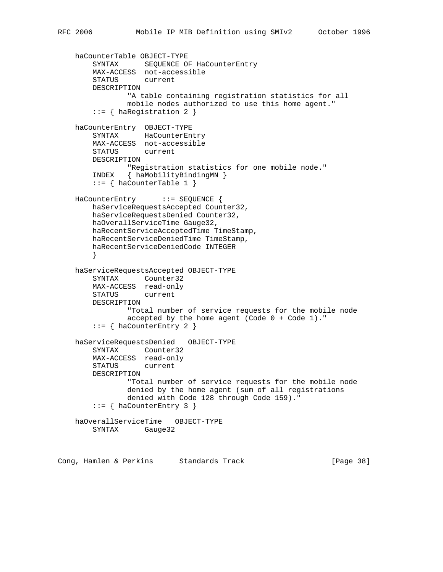```
 haCounterTable OBJECT-TYPE
 SYNTAX SEQUENCE OF HaCounterEntry
 MAX-ACCESS not-accessible
        STATUS current
        DESCRIPTION
                "A table containing registration statistics for all
                mobile nodes authorized to use this home agent."
       ::= { haRegistration 2 }
    haCounterEntry OBJECT-TYPE
        SYNTAX HaCounterEntry
        MAX-ACCESS not-accessible
        STATUS current
        DESCRIPTION
               "Registration statistics for one mobile node."
        INDEX { haMobilityBindingMN }
       ::= { haCounterTable 1 }
    HaCounterEntry ::= SEQUENCE {
        haServiceRequestsAccepted Counter32,
        haServiceRequestsDenied Counter32,
        haOverallServiceTime Gauge32,
        haRecentServiceAcceptedTime TimeStamp,
        haRecentServiceDeniedTime TimeStamp,
        haRecentServiceDeniedCode INTEGER
 }
    haServiceRequestsAccepted OBJECT-TYPE
        SYNTAX Counter32
        MAX-ACCESS read-only
        STATUS current
        DESCRIPTION
                "Total number of service requests for the mobile node
                accepted by the home agent (Code 0 + Code 1)."
        ::= { haCounterEntry 2 }
    haServiceRequestsDenied OBJECT-TYPE
        SYNTAX Counter32
        MAX-ACCESS read-only
        STATUS current
        DESCRIPTION
                "Total number of service requests for the mobile node
                denied by the home agent (sum of all registrations
                denied with Code 128 through Code 159)."
        ::= { haCounterEntry 3 }
    haOverallServiceTime OBJECT-TYPE
        SYNTAX Gauge32
```
Cong, Hamlen & Perkins Standards Track [Page 38]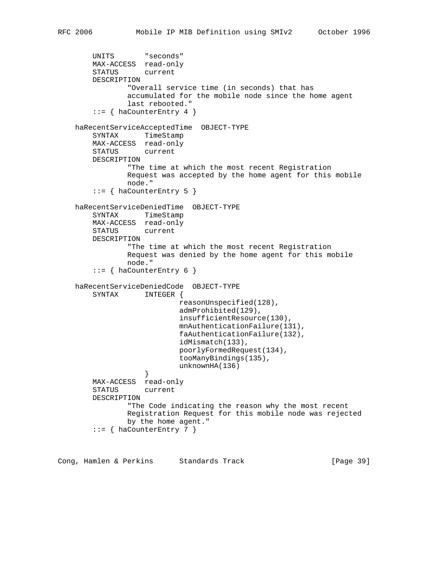```
 UNITS "seconds"
        MAX-ACCESS read-only
        STATUS current
        DESCRIPTION
                "Overall service time (in seconds) that has
                accumulated for the mobile node since the home agent
                last rebooted."
       ::= { haCounterEntry 4 }
    haRecentServiceAcceptedTime OBJECT-TYPE
        SYNTAX TimeStamp
        MAX-ACCESS read-only
        STATUS current
        DESCRIPTION
                "The time at which the most recent Registration
                Request was accepted by the home agent for this mobile
                node."
       ::= { haCounterEntry 5 }
    haRecentServiceDeniedTime OBJECT-TYPE
        SYNTAX TimeStamp
        MAX-ACCESS read-only
        STATUS current
        DESCRIPTION
                "The time at which the most recent Registration
                Request was denied by the home agent for this mobile
                node."
       ::= { haCounterEntry 6 }
    haRecentServiceDeniedCode OBJECT-TYPE
        SYNTAX INTEGER {
                            reasonUnspecified(128),
                            admProhibited(129),
                            insufficientResource(130),
                            mnAuthenticationFailure(131),
                            faAuthenticationFailure(132),
                            idMismatch(133),
                            poorlyFormedRequest(134),
                            tooManyBindings(135),
                            unknownHA(136)
 }
        MAX-ACCESS read-only
        STATUS current
        DESCRIPTION
                "The Code indicating the reason why the most recent
                Registration Request for this mobile node was rejected
                by the home agent."
        ::= { haCounterEntry 7 }
```
Cong, Hamlen & Perkins Standards Track [Page 39]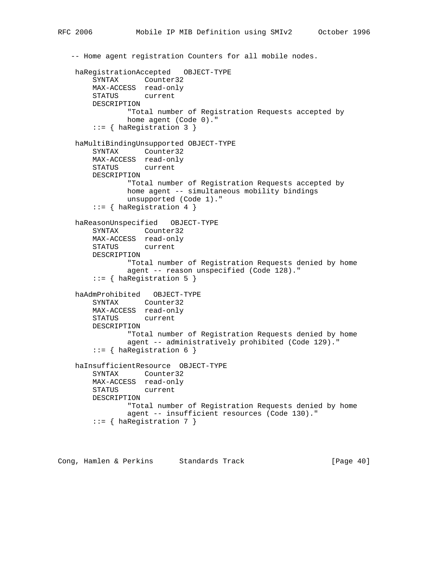```
 -- Home agent registration Counters for all mobile nodes.
 haRegistrationAccepted OBJECT-TYPE
     SYNTAX Counter32
     MAX-ACCESS read-only
     STATUS current
     DESCRIPTION
             "Total number of Registration Requests accepted by
             home agent (Code 0)."
      ::= { haRegistration 3 }
 haMultiBindingUnsupported OBJECT-TYPE
     SYNTAX Counter32
     MAX-ACCESS read-only
     STATUS current
     DESCRIPTION
             "Total number of Registration Requests accepted by
             home agent -- simultaneous mobility bindings
             unsupported (Code 1)."
     ::= { haRegistration 4 }
 haReasonUnspecified OBJECT-TYPE
     SYNTAX Counter32
     MAX-ACCESS read-only
     STATUS current
     DESCRIPTION
              "Total number of Registration Requests denied by home
             agent -- reason unspecified (Code 128)."
      ::= { haRegistration 5 }
 haAdmProhibited OBJECT-TYPE
     SYNTAX Counter32
     MAX-ACCESS read-only
     STATUS current
     DESCRIPTION
             "Total number of Registration Requests denied by home
             agent -- administratively prohibited (Code 129)."
     ::= { haRegistration 6 }
 haInsufficientResource OBJECT-TYPE
     SYNTAX Counter32
     MAX-ACCESS read-only
     STATUS current
     DESCRIPTION
             "Total number of Registration Requests denied by home
             agent -- insufficient resources (Code 130)."
     ::= { haRegistration 7 }
```
Cong, Hamlen & Perkins Standards Track [Page 40]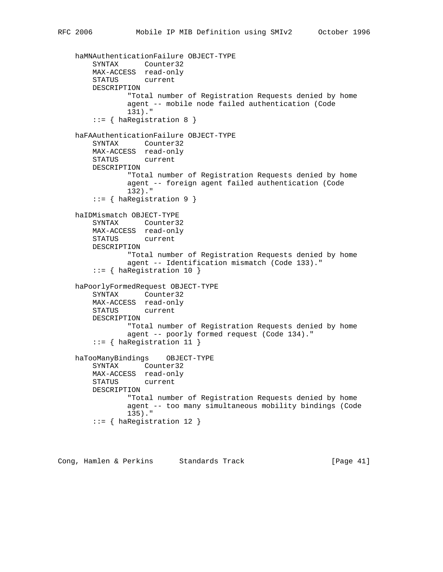```
 haMNAuthenticationFailure OBJECT-TYPE
     SYNTAX Counter32
    MAX-ACCESS read-only
     STATUS current
     DESCRIPTION
             "Total number of Registration Requests denied by home
             agent -- mobile node failed authentication (Code
             131)."
     ::= { haRegistration 8 }
 haFAAuthenticationFailure OBJECT-TYPE
     SYNTAX Counter32
    MAX-ACCESS read-only
     STATUS current
     DESCRIPTION
             "Total number of Registration Requests denied by home
             agent -- foreign agent failed authentication (Code
             132)."
     ::= { haRegistration 9 }
 haIDMismatch OBJECT-TYPE
     SYNTAX Counter32
    MAX-ACCESS read-only
    STATUS current
    DESCRIPTION
            "Total number of Registration Requests denied by home
             agent -- Identification mismatch (Code 133)."
     ::= { haRegistration 10 }
 haPoorlyFormedRequest OBJECT-TYPE
     SYNTAX Counter32
    MAX-ACCESS read-only
    STATUS current
     DESCRIPTION
             "Total number of Registration Requests denied by home
             agent -- poorly formed request (Code 134)."
     ::= { haRegistration 11 }
 haTooManyBindings OBJECT-TYPE
     SYNTAX Counter32
    MAX-ACCESS read-only
     STATUS current
    DESCRIPTION
             "Total number of Registration Requests denied by home
             agent -- too many simultaneous mobility bindings (Code
             135)."
     ::= { haRegistration 12 }
```
Cong, Hamlen & Perkins Standards Track [Page 41]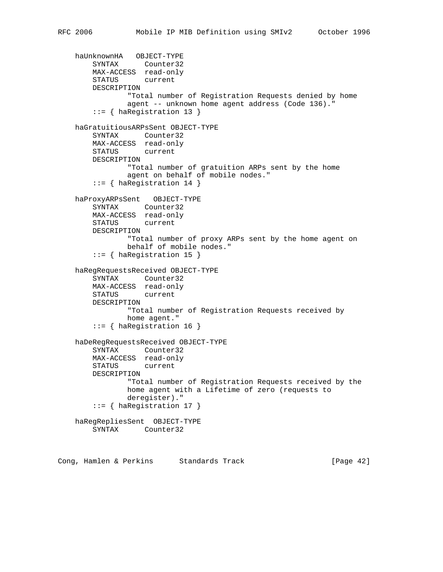```
 haUnknownHA OBJECT-TYPE
 SYNTAX Counter32
 MAX-ACCESS read-only
        STATUS current
        DESCRIPTION
                "Total number of Registration Requests denied by home
                agent -- unknown home agent address (Code 136)."
        ::= { haRegistration 13 }
    haGratuitiousARPsSent OBJECT-TYPE
        SYNTAX Counter32
        MAX-ACCESS read-only
        STATUS current
        DESCRIPTION
                "Total number of gratuition ARPs sent by the home
                agent on behalf of mobile nodes."
        ::= { haRegistration 14 }
    haProxyARPsSent OBJECT-TYPE
        SYNTAX Counter32
        MAX-ACCESS read-only
        STATUS current
        DESCRIPTION
                "Total number of proxy ARPs sent by the home agent on
                behalf of mobile nodes."
        ::= { haRegistration 15 }
    haRegRequestsReceived OBJECT-TYPE
        SYNTAX Counter32
        MAX-ACCESS read-only
        STATUS current
        DESCRIPTION
                "Total number of Registration Requests received by
               home agent."
        ::= { haRegistration 16 }
    haDeRegRequestsReceived OBJECT-TYPE
        SYNTAX Counter32
        MAX-ACCESS read-only
        STATUS current
        DESCRIPTION
                "Total number of Registration Requests received by the
                home agent with a Lifetime of zero (requests to
                deregister)."
        ::= { haRegistration 17 }
    haRegRepliesSent OBJECT-TYPE
        SYNTAX Counter32
```
Cong, Hamlen & Perkins Standards Track [Page 42]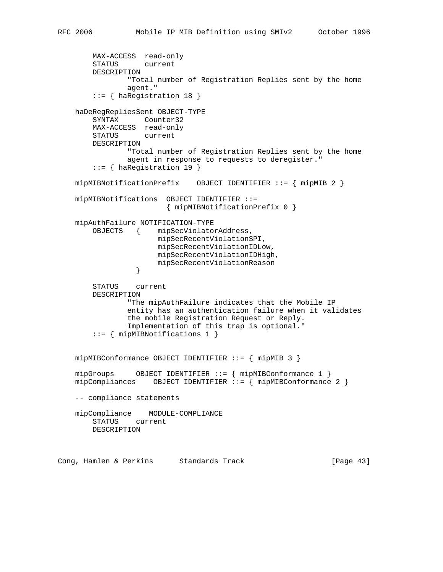```
 MAX-ACCESS read-only
        STATUS current
        DESCRIPTION
                "Total number of Registration Replies sent by the home
                agent."
        ::= { haRegistration 18 }
    haDeRegRepliesSent OBJECT-TYPE
        SYNTAX Counter32
        MAX-ACCESS read-only
        STATUS current
        DESCRIPTION
                "Total number of Registration Replies sent by the home
                agent in response to requests to deregister."
        ::= { haRegistration 19 }
    mipMIBNotificationPrefix OBJECT IDENTIFIER ::= { mipMIB 2 }
    mipMIBNotifications OBJECT IDENTIFIER ::=
                         { mipMIBNotificationPrefix 0 }
    mipAuthFailure NOTIFICATION-TYPE
        OBJECTS { mipSecViolatorAddress,
                       mipSecRecentViolationSPI,
                       mipSecRecentViolationIDLow,
                       mipSecRecentViolationIDHigh,
                 mipSecRecentViolationReason<br>}
 }
        STATUS current
        DESCRIPTION
                "The mipAuthFailure indicates that the Mobile IP
                entity has an authentication failure when it validates
                the mobile Registration Request or Reply.
                Implementation of this trap is optional."
        ::= { mipMIBNotifications 1 }
    mipMIBConformance OBJECT IDENTIFIER ::= { mipMIB 3 }
    mipGroups OBJECT IDENTIFIER ::= { mipMIBConformance 1 }
    mipCompliances OBJECT IDENTIFIER ::= { mipMIBConformance 2 }
    -- compliance statements
    mipCompliance MODULE-COMPLIANCE
        STATUS current
        DESCRIPTION
```
Cong, Hamlen & Perkins Standards Track [Page 43]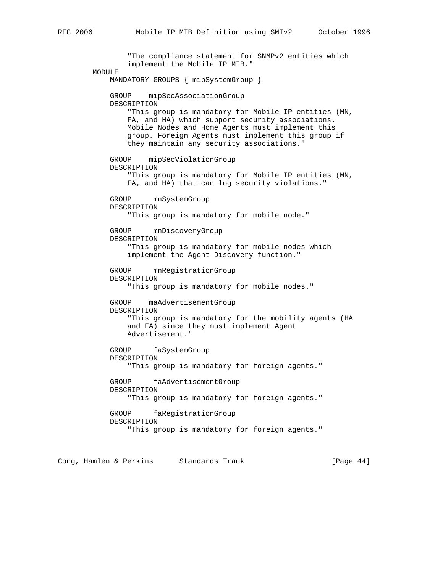"The compliance statement for SNMPv2 entities which implement the Mobile IP MIB." MODULE MANDATORY-GROUPS { mipSystemGroup } GROUP mipSecAssociationGroup DESCRIPTION "This group is mandatory for Mobile IP entities (MN, FA, and HA) which support security associations. Mobile Nodes and Home Agents must implement this group. Foreign Agents must implement this group if they maintain any security associations." GROUP mipSecViolationGroup DESCRIPTION "This group is mandatory for Mobile IP entities (MN, FA, and HA) that can log security violations." GROUP mnSystemGroup DESCRIPTION "This group is mandatory for mobile node." GROUP mnDiscoveryGroup DESCRIPTION "This group is mandatory for mobile nodes which implement the Agent Discovery function." GROUP mnRegistrationGroup DESCRIPTION "This group is mandatory for mobile nodes." GROUP maAdvertisementGroup DESCRIPTION "This group is mandatory for the mobility agents (HA and FA) since they must implement Agent Advertisement." GROUP faSystemGroup DESCRIPTION "This group is mandatory for foreign agents." GROUP faAdvertisementGroup DESCRIPTION "This group is mandatory for foreign agents." GROUP faRegistrationGroup DESCRIPTION "This group is mandatory for foreign agents."

Cong, Hamlen & Perkins Standards Track (Page 44)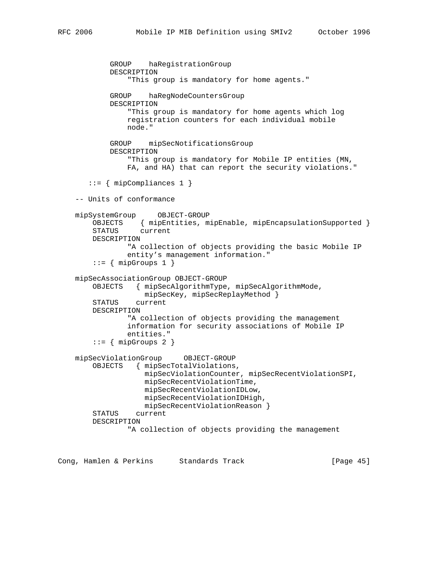```
 GROUP haRegistrationGroup
         DESCRIPTION
             "This group is mandatory for home agents."
         GROUP haRegNodeCountersGroup
         DESCRIPTION
             "This group is mandatory for home agents which log
             registration counters for each individual mobile
             node."
         GROUP mipSecNotificationsGroup
         DESCRIPTION
             "This group is mandatory for Mobile IP entities (MN,
             FA, and HA) that can report the security violations."
   ::= { mipCompliances 1 }
 -- Units of conformance
 mipSystemGroup OBJECT-GROUP
     OBJECTS { mipEntities, mipEnable, mipEncapsulationSupported }
     STATUS current
    DESCRIPTION
             "A collection of objects providing the basic Mobile IP
             entity's management information."
    ::= { mipGroups 1 }
 mipSecAssociationGroup OBJECT-GROUP
     OBJECTS { mipSecAlgorithmType, mipSecAlgorithmMode,
                 mipSecKey, mipSecReplayMethod }
     STATUS current
    DESCRIPTION
             "A collection of objects providing the management
             information for security associations of Mobile IP
             entities."
    ::= { mipGroups 2 }
 mipSecViolationGroup OBJECT-GROUP
     OBJECTS { mipSecTotalViolations,
                 mipSecViolationCounter, mipSecRecentViolationSPI,
                 mipSecRecentViolationTime,
                 mipSecRecentViolationIDLow,
                 mipSecRecentViolationIDHigh,
                 mipSecRecentViolationReason }
     STATUS current
     DESCRIPTION
             "A collection of objects providing the management
```
Cong, Hamlen & Perkins Standards Track [Page 45]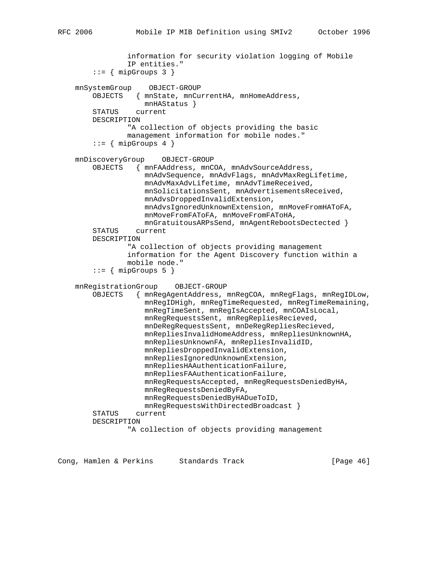```
 information for security violation logging of Mobile
             IP entities."
    ::= { mipGroups 3 }
 mnSystemGroup OBJECT-GROUP
     OBJECTS { mnState, mnCurrentHA, mnHomeAddress,
                mnHAStatus }
     STATUS current
     DESCRIPTION
             "A collection of objects providing the basic
             management information for mobile nodes."
    ::= { mipGroups 4 }
 mnDiscoveryGroup OBJECT-GROUP
     OBJECTS { mnFAAddress, mnCOA, mnAdvSourceAddress,
                 mnAdvSequence, mnAdvFlags, mnAdvMaxRegLifetime,
                 mnAdvMaxAdvLifetime, mnAdvTimeReceived,
                 mnSolicitationsSent, mnAdvertisementsReceived,
                 mnAdvsDroppedInvalidExtension,
                 mnAdvsIgnoredUnknownExtension, mnMoveFromHAToFA,
                 mnMoveFromFAToFA, mnMoveFromFAToHA,
                 mnGratuitousARPsSend, mnAgentRebootsDectected }
     STATUS current
     DESCRIPTION
             "A collection of objects providing management
             information for the Agent Discovery function within a
             mobile node."
    ::= { mipGroups 5 }
 mnRegistrationGroup OBJECT-GROUP
     OBJECTS { mnRegAgentAddress, mnRegCOA, mnRegFlags, mnRegIDLow,
                 mnRegIDHigh, mnRegTimeRequested, mnRegTimeRemaining,
                 mnRegTimeSent, mnRegIsAccepted, mnCOAIsLocal,
                 mnRegRequestsSent, mnRegRepliesRecieved,
                 mnDeRegRequestsSent, mnDeRegRepliesRecieved,
                 mnRepliesInvalidHomeAddress, mnRepliesUnknownHA,
                 mnRepliesUnknownFA, mnRepliesInvalidID,
                 mnRepliesDroppedInvalidExtension,
                 mnRepliesIgnoredUnknownExtension,
                 mnRepliesHAAuthenticationFailure,
                 mnRepliesFAAuthenticationFailure,
                 mnRegRequestsAccepted, mnRegRequestsDeniedByHA,
                 mnRegRequestsDeniedByFA,
                 mnRegRequestsDeniedByHADueToID,
                 mnRegRequestsWithDirectedBroadcast }
     STATUS current
     DESCRIPTION
             "A collection of objects providing management
```
Cong, Hamlen & Perkins Standards Track (Page 46)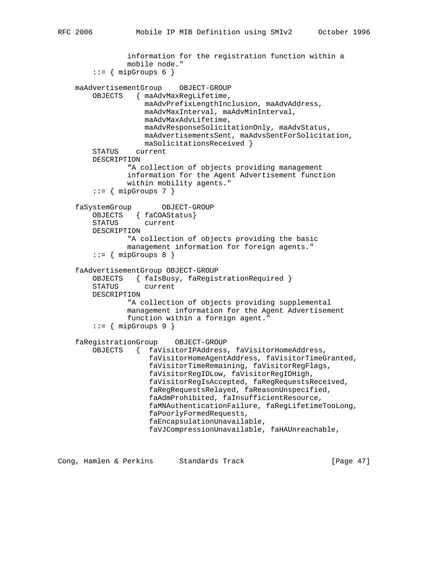```
 information for the registration function within a
             mobile node."
    ::= { mipGroups 6 }
 maAdvertisementGroup OBJECT-GROUP
     OBJECTS { maAdvMaxRegLifetime,
                 maAdvPrefixLengthInclusion, maAdvAddress,
                 maAdvMaxInterval, maAdvMinInterval,
                 maAdvMaxAdvLifetime,
                 maAdvResponseSolicitationOnly, maAdvStatus,
                 maAdvertisementsSent, maAdvsSentForSolicitation,
                 maSolicitationsReceived }
     STATUS current
     DESCRIPTION
             "A collection of objects providing management
             information for the Agent Advertisement function
             within mobility agents."
    ::= { mipGroups 7 }
 faSystemGroup OBJECT-GROUP
     OBJECTS { faCOAStatus}
     STATUS current
     DESCRIPTION
             "A collection of objects providing the basic
             management information for foreign agents."
    ::= \{ mipGroups 8 \} faAdvertisementGroup OBJECT-GROUP
     OBJECTS { faIsBusy, faRegistrationRequired }
     STATUS current
     DESCRIPTION
             "A collection of objects providing supplemental
             management information for the Agent Advertisement
             function within a foreign agent."
    ::= { mipGroups 9 }
 faRegistrationGroup OBJECT-GROUP
     OBJECTS { faVisitorIPAddress, faVisitorHomeAddress,
                  faVisitorHomeAgentAddress, faVisitorTimeGranted,
                  faVisitorTimeRemaining, faVisitorRegFlags,
                  faVisitorRegIDLow, faVisitorRegIDHigh,
                  faVisitorRegIsAccepted, faRegRequestsReceived,
                  faRegRequestsRelayed, faReasonUnspecified,
                  faAdmProhibited, faInsufficientResource,
                  faMNAuthenticationFailure, faRegLifetimeTooLong,
                  faPoorlyFormedRequests,
                  faEncapsulationUnavailable,
                  faVJCompressionUnavailable, faHAUnreachable,
```
Cong, Hamlen & Perkins Standards Track [Page 47]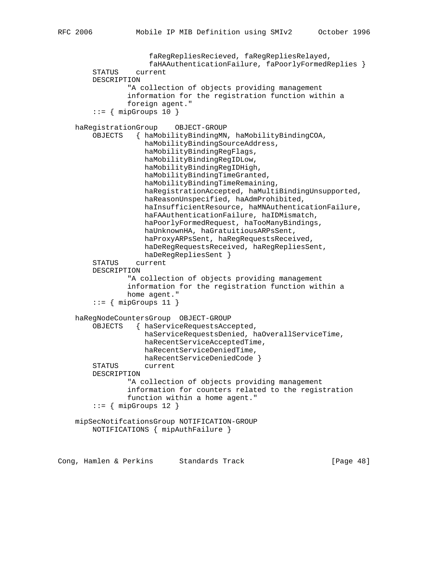```
 faRegRepliesRecieved, faRegRepliesRelayed,
                  faHAAuthenticationFailure, faPoorlyFormedReplies }
     STATUS current
     DESCRIPTION
             "A collection of objects providing management
             information for the registration function within a
             foreign agent."
    ::= { mipGroups 10 }
 haRegistrationGroup OBJECT-GROUP
     OBJECTS { haMobilityBindingMN, haMobilityBindingCOA,
                 haMobilityBindingSourceAddress,
                 haMobilityBindingRegFlags,
                 haMobilityBindingRegIDLow,
                 haMobilityBindingRegIDHigh,
                 haMobilityBindingTimeGranted,
                 haMobilityBindingTimeRemaining,
                 haRegistrationAccepted, haMultiBindingUnsupported,
                 haReasonUnspecified, haAdmProhibited,
                 haInsufficientResource, haMNAuthenticationFailure,
                 haFAAuthenticationFailure, haIDMismatch,
                 haPoorlyFormedRequest, haTooManyBindings,
                 haUnknownHA, haGratuitiousARPsSent,
                 haProxyARPsSent, haRegRequestsReceived,
                 haDeRegRequestsReceived, haRegRepliesSent,
                 haDeRegRepliesSent }
     STATUS current
     DESCRIPTION
             "A collection of objects providing management
             information for the registration function within a
             home agent."
    ::= { mipGroups 11 }
 haRegNodeCountersGroup OBJECT-GROUP
     OBJECTS { haServiceRequestsAccepted,
                 haServiceRequestsDenied, haOverallServiceTime,
                 haRecentServiceAcceptedTime,
                 haRecentServiceDeniedTime,
                 haRecentServiceDeniedCode }
     STATUS current
     DESCRIPTION
             "A collection of objects providing management
             information for counters related to the registration
             function within a home agent."
    ::= { mipGroups 12 }
 mipSecNotifcationsGroup NOTIFICATION-GROUP
     NOTIFICATIONS { mipAuthFailure }
```
Cong, Hamlen & Perkins Standards Track [Page 48]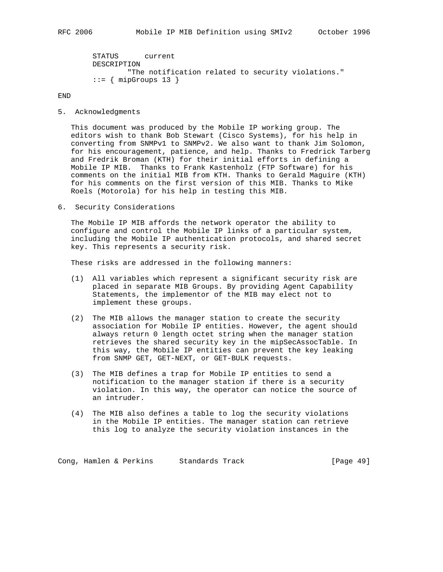```
 STATUS current
 DESCRIPTION
         "The notification related to security violations."
::= { mipGroups 13 }
```
END

5. Acknowledgments

 This document was produced by the Mobile IP working group. The editors wish to thank Bob Stewart (Cisco Systems), for his help in converting from SNMPv1 to SNMPv2. We also want to thank Jim Solomon, for his encouragement, patience, and help. Thanks to Fredrick Tarberg and Fredrik Broman (KTH) for their initial efforts in defining a Mobile IP MIB. Thanks to Frank Kastenholz (FTP Software) for his comments on the initial MIB from KTH. Thanks to Gerald Maguire (KTH) for his comments on the first version of this MIB. Thanks to Mike Roels (Motorola) for his help in testing this MIB.

6. Security Considerations

 The Mobile IP MIB affords the network operator the ability to configure and control the Mobile IP links of a particular system, including the Mobile IP authentication protocols, and shared secret key. This represents a security risk.

These risks are addressed in the following manners:

- (1) All variables which represent a significant security risk are placed in separate MIB Groups. By providing Agent Capability Statements, the implementor of the MIB may elect not to implement these groups.
- (2) The MIB allows the manager station to create the security association for Mobile IP entities. However, the agent should always return 0 length octet string when the manager station retrieves the shared security key in the mipSecAssocTable. In this way, the Mobile IP entities can prevent the key leaking from SNMP GET, GET-NEXT, or GET-BULK requests.
- (3) The MIB defines a trap for Mobile IP entities to send a notification to the manager station if there is a security violation. In this way, the operator can notice the source of an intruder.
- (4) The MIB also defines a table to log the security violations in the Mobile IP entities. The manager station can retrieve this log to analyze the security violation instances in the

Cong, Hamlen & Perkins Standards Track [Page 49]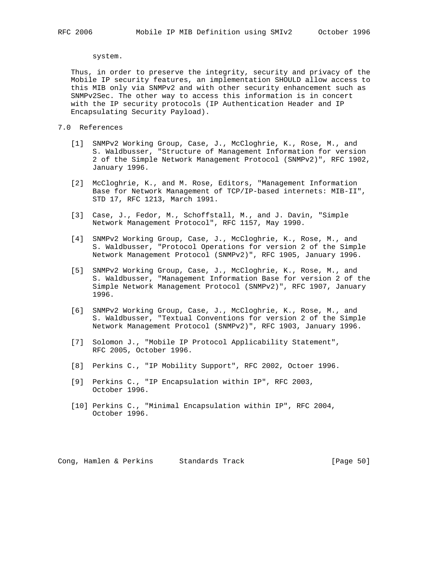system.

 Thus, in order to preserve the integrity, security and privacy of the Mobile IP security features, an implementation SHOULD allow access to this MIB only via SNMPv2 and with other security enhancement such as SNMPv2Sec. The other way to access this information is in concert with the IP security protocols (IP Authentication Header and IP Encapsulating Security Payload).

## 7.0 References

- [1] SNMPv2 Working Group, Case, J., McCloghrie, K., Rose, M., and S. Waldbusser, "Structure of Management Information for version 2 of the Simple Network Management Protocol (SNMPv2)", RFC 1902, January 1996.
- [2] McCloghrie, K., and M. Rose, Editors, "Management Information Base for Network Management of TCP/IP-based internets: MIB-II", STD 17, RFC 1213, March 1991.
- [3] Case, J., Fedor, M., Schoffstall, M., and J. Davin, "Simple Network Management Protocol", RFC 1157, May 1990.
- [4] SNMPv2 Working Group, Case, J., McCloghrie, K., Rose, M., and S. Waldbusser, "Protocol Operations for version 2 of the Simple Network Management Protocol (SNMPv2)", RFC 1905, January 1996.
- [5] SNMPv2 Working Group, Case, J., McCloghrie, K., Rose, M., and S. Waldbusser, "Management Information Base for version 2 of the Simple Network Management Protocol (SNMPv2)", RFC 1907, January 1996.
- [6] SNMPv2 Working Group, Case, J., McCloghrie, K., Rose, M., and S. Waldbusser, "Textual Conventions for version 2 of the Simple Network Management Protocol (SNMPv2)", RFC 1903, January 1996.
- [7] Solomon J., "Mobile IP Protocol Applicability Statement", RFC 2005, October 1996.
- [8] Perkins C., "IP Mobility Support", RFC 2002, Octoer 1996.
- [9] Perkins C., "IP Encapsulation within IP", RFC 2003, October 1996.
- [10] Perkins C., "Minimal Encapsulation within IP", RFC 2004, October 1996.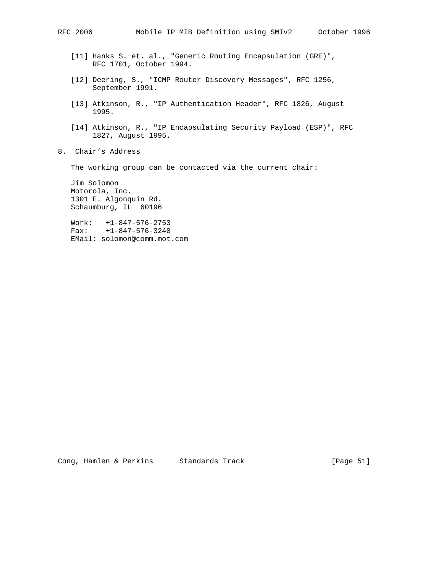- [11] Hanks S. et. al., "Generic Routing Encapsulation (GRE)", RFC 1701, October 1994.
- [12] Deering, S., "ICMP Router Discovery Messages", RFC 1256, September 1991.
- [13] Atkinson, R., "IP Authentication Header", RFC 1826, August 1995.
- [14] Atkinson, R., "IP Encapsulating Security Payload (ESP)", RFC 1827, August 1995.
- 8. Chair's Address

The working group can be contacted via the current chair:

 Jim Solomon Motorola, Inc. 1301 E. Algonquin Rd. Schaumburg, IL 60196

 Work: +1-847-576-2753 Fax: +1-847-576-3240 EMail: solomon@comm.mot.com